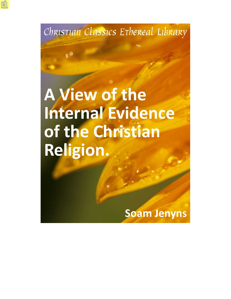Christian Classics Erhereal Library

**A View of the Internal Evidence** of the Christian Religion.

**Soam Jenyns**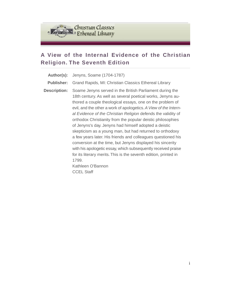

# **A View of the Internal Evidence of the Christian Religion. The Seventh Edition**

| Author(s):          | Jenyns, Soame (1704-1787)                                                                                                                                                                                                                                                                                                                                                                                                                                                                                                                                                                                                                                                                                                                                                                                                           |
|---------------------|-------------------------------------------------------------------------------------------------------------------------------------------------------------------------------------------------------------------------------------------------------------------------------------------------------------------------------------------------------------------------------------------------------------------------------------------------------------------------------------------------------------------------------------------------------------------------------------------------------------------------------------------------------------------------------------------------------------------------------------------------------------------------------------------------------------------------------------|
| <b>Publisher:</b>   | Grand Rapids, MI: Christian Classics Ethereal Library                                                                                                                                                                                                                                                                                                                                                                                                                                                                                                                                                                                                                                                                                                                                                                               |
| <b>Description:</b> | Soame Jenyns served in the British Parliament during the<br>18th century. As well as several poetical works, Jenyns au-<br>thored a couple theological essays, one on the problem of<br>evil, and the other a work of apologetics. A View of the Intern-<br>al Evidence of the Christian Religion defends the validity of<br>orthodox Christianity from the popular deistic philosophies<br>of Jenyns's day. Jenyns had himself adopted a deistic<br>skepticism as a young man, but had returned to orthodoxy<br>a few years later. His friends and colleagues questioned his<br>conversion at the time, but Jenyns displayed his sincerity<br>with his apologetic essay, which subsequently received praise<br>for its literary merits. This is the seventh edition, printed in<br>1799.<br>Kathleen O'Bannon<br><b>CCEL Staff</b> |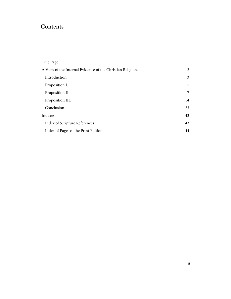# Contents

| Title Page                                                 |    |
|------------------------------------------------------------|----|
| A View of the Internal Evidence of the Christian Religion. |    |
| Introduction.                                              | 3  |
| Proposition I.                                             | 5  |
| Proposition II.                                            | 7  |
| Proposition III.                                           | 14 |
| Conclusion.                                                | 23 |
| Indexes                                                    |    |
| Index of Scripture References                              | 43 |
| Index of Pages of the Print Edition                        |    |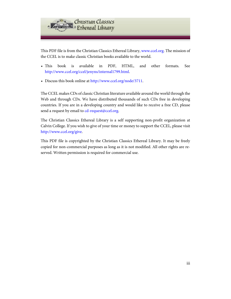

This PDF file is from the Christian Classics Ethereal Library, [www.ccel.org.](http://www.ccel.org) The mission of the CCEL is to make classic Christian books available to the world.

- This book is available in PDF, HTML, and other formats. See <http://www.ccel.org/ccel/jenyns/internal1799.html>.
- Discuss this book online at [http://www.ccel.org/node/3711.](http://www.ccel.org/node/3711)

The CCEL makes CDs of classic Christian literature available around the world through the Web and through CDs. We have distributed thousands of such CDs free in developing countries. If you are in a developing country and would like to receive a free CD, please send a request by email to [cd-request@ccel.org.](mailto:cd-request@ccel.org)

The Christian Classics Ethereal Library is a self supporting non-profit organization at Calvin College. If you wish to give of your time or money to support the CCEL, please visit [http://www.ccel.org/give.](http://www.ccel.org/give)

This PDF file is copyrighted by the Christian Classics Ethereal Library. It may be freely copied for non-commercial purposes as long as it is not modified. All other rights are reserved. Written permission is required for commercial use.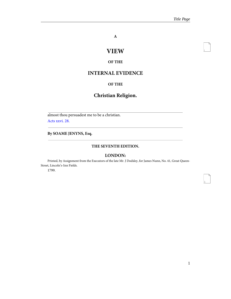<span id="page-4-2"></span>i

<span id="page-4-3"></span>1

**A**

# **VIEW**

#### **OF THE**

## <span id="page-4-0"></span>**INTERNAL EVIDENCE**

#### **OF THE**

## **Christian Religion.**

<span id="page-4-1"></span>almost thou persuadest me to be a christian. [Acts xxvi. 28.](http://www.ccel.org/study/Bible:Acts.26.28)

**By SOAME JENYNS, Esq.**

#### **THE SEVENTH EDITION.**

#### **LONDON:**

Printed, by Assignment from the Executors of the late Mr. J Dodsley, for James Nunn, No. 41, Great Queen-Street, Lincoln's-Inn Fields.

1799.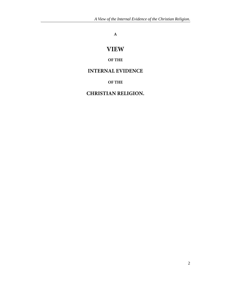## **A**

# **VIEW**

### **OF THE**

## <span id="page-5-0"></span>**INTERNAL EVIDENCE**

**OF THE**

## **CHRISTIAN RELIGION.**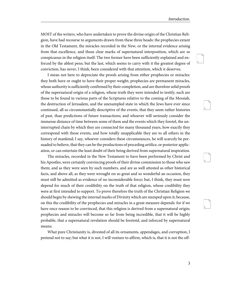<span id="page-6-2"></span><span id="page-6-1"></span>3

<span id="page-6-4"></span><span id="page-6-3"></span>4

5

<span id="page-6-0"></span>MOST of the writers, who have undertaken to prove the divine origin of the Christian Religion, have had recourse to arguments drawn from these three heads: the prophecies extant in the Old Testament, the miracles recorded in the New, or the internal evidence arising from that excellence, and those clear marks of supernatural interposition, which are so conspicuous in the religion itself: The two former have been sufficiently explained and enforced by the ablest pens; but the last, which seems to carry with it the greatest degree of conviction, has never, I think, been considered with that attention, which it deserves.

I mean not here to depreciate the proofs arising from either prophecies or miracles: they both have or ought to have their proper weight; prophecies are permanent miracles, whose authority is sufficiently confirmed by their completion, and are therefore solid proofs of the supernatural origin of a religion, whose truth they were intended to testify; such are those to be found in various parts of the Scriptures relative to the coming of the Messiah, the destruction of Jerusalem, and the unexampled state in which the Jews have ever since continued, all so circumstantially descriptive of the events, that they seem rather histories of past, than predictions of future transactions; and whoever will seriously consider the immense distance of time between some of them and the events which they foretel, the uninterrupted chain by which they are connected for many thousand years, how exactly they correspond with those events, and how totally unapplicable they are to all others in the history of mankind; I say, whoever considers these circumstances, he will scarcely be persuaded to believe, that they can be the productions of preceding artifice, or posterior application, or can entertain the least doubt of their being derived from supernatural inspiration.

The miracles, recorded in the New Testament to have been performed by Christ and his Apostles, were certainly convincing proofs of their divine commission to those who saw them; and as they were seen by such numbers, and are as well attested as other historical facts, and above all, as they were wrought on so great and so wonderful an occasion, they must still be admitted as evidence of no inconsiderable force; but, I think, they must now depend for much of their credibility on the truth of that religion, whose credibility they were at first intended to support. To prove therefore the truth of the Christian Religion we should begin by shewing the internal marks of Divinity which are stamped upon it; because, on this the credibility of the prophecies and miracles in a great measure depends: for if we have once reason to be convinced, that this religion is derived from a supernatural origin; prophecies and miracles will become so far from being incredible, that it will be highly probable, that a supernatural revelation should be foretotd, and inforced by supernatural means.

What pure Christianity is, divested of all its ornaments, appendages, and corruption, I pretend not to say; but what it is not, I will venture to affirm, which is, that it is not the off-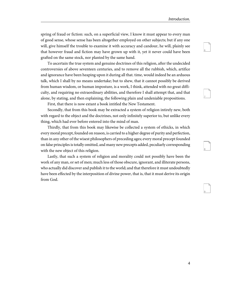<span id="page-7-1"></span><span id="page-7-0"></span>7

<span id="page-7-3"></span><span id="page-7-2"></span>8

9

spring of fraud or fiction: such, on a superficial view, I know it must appear to every man of good sense, whose sense has been altogether employed on other subjects; but if any one will, give himself the trouble to examine it with accuracy and candour, he will, plainly see that however fraud and fiction may have grown up with it, yet it never could have been grafted on the same stock, nor planted by the same hand.

To ascertain the true system and genuine doctrines of this religion, after the undecided controversies of above seventeen centuries, and to remove all the rubbish, which, artifice and ignorance have been heaping upon it during all that. time, would indeed be an arduous talk, which I shall by no means undertake; but to shew, that it cannot possibly be derived from human wisdom, or human imposture, is a work, I think, attended with no great difficulty, and requiring no extraordinary abilities, and therefore I shall attempt that, and that alone, by stating, and then explaining, the following plain and undeniable propositions.

First, that there is now extant a book intitled the New Testament.

Secondly, that from this book may be extracted a system of religion intirely new, both with regard to the object and the doctrines, not only infinitely superior to, but unlike every thing, which had ever before entered into the mind of man.

Thirdly, that from this book may likewise be collected a system of ethicks, in which every moral precept, founded on reason, is carried to a higher degree of purity and perfection, than in any other of the wisest philosophers of preceding ages; every moral precept founded on false principles is totally omitted, and many new precepts added, peculiarly corresponding with the new object of this religion.

Lastly, that such a system of religion and morality could not possibly have been the work of any man, or set of men; much less of those obscure, ignorant, and illiterate persons, who actually did discover and publish it to the world; and that therefore it must undoubtedly have been effected by the interposition of divine power, that is, that it must derive its origin from God.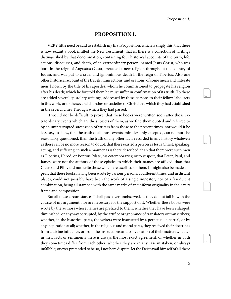<span id="page-8-3"></span><span id="page-8-2"></span><span id="page-8-1"></span>11

<span id="page-8-4"></span>12

13

#### **PROPOSITION I.**

<span id="page-8-0"></span>VERY little need be said to establish my first Proposition, which is singly this, that there is now extant a book intitled the New Testament; that is, there is a collection of writings distinguished by that denomination, containing four historical accounts of the birth, life, actions, discourses, and death, of an extraordinary person, named Jesus Christ, who was born in the reign of Augustus Cæsar, preached a new religion throughout the country of Judæa, and was put to a cruel and ignominious death in the reign of Tiberius. Also one other historical account of the travels, transactions, and orations, of some mean and illiterate men, known by the title of his apostles, whom he commissioned to propagate his religion after his death; which he foretold them he must suffer in confirmation of its truth. To these are added several epistolary writings, addressed by these persons to their fellow-labourers in this work, or to the several churches or societies of Christians, which they had established in the several cities Through which they had passed.

It would not be difficult to prove, that these books were written soon after those extraordinary events which are the subjects of them, as we find them quoted and referred to by an uninterrupted succession of writers from those to the present times; nor would it be less easy to shew, that the truth of all those events, miracles only excepted, can no more be reasonably questioned, than the truth of any other facts recorded in any history whatever; as there can be no more reason to doubt, that there existed a person as Jesus Christ; speaking, acting, and suffering, in such a manner as is there described, than that there were such men as Tiberius, Herod, or Pontius Pilate, his cotemporaries; or to suspect, that Peter, Paul, and James, were not the authors of those epistles to which their names are affixed, than that Cicero and Pliny did not write those which are ascribed to them. It might also be made appear, that these books having been wrote by various persons, at different times, and in distant places, could not possibly have been the work of a single impostor, nor of a fraudulent combination, being all stamped with the same marks of an uniform originality in their very frame and composition.

But all these circumstances I shall pass over unobserved, as they do not fall in with the course of my argument, nor are necessary for the support of it. Whether these books were wrote by the authors whose names are prefixed to them; whether they have been enlarged, diminished, or any way corrupted, by the artifice or ignorance of translators or transcribers; whether, in the historical parts, the writers were instructed by a perpetual, a partial, or by any inspiration at all; whether, in the religious and moral parts, they received their doctrines from a divine influence, or from the instructions and conversation of their matter; whether in their facts or sentiments there is always the most exact agreement, or whether in both they sometimes differ from each other; whether they are in any case mistaken, or always infallible; or ever pretended to be so, I not here dispute: let the Deist avail himself of all these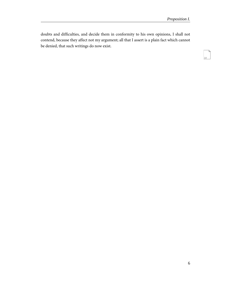<span id="page-9-0"></span>doubts and difficulties, and decide them in conformity to his own opinions, I shall not contend, because they affect not my argument; all that I assert is a plain fact which cannot be denied, that such writings do now exist.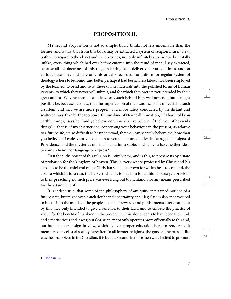<span id="page-10-4"></span><span id="page-10-3"></span><span id="page-10-2"></span>16

<span id="page-10-5"></span>17

18

#### **PROPOSITION II.**

<span id="page-10-0"></span>MY second Proposition is not so simple, but, I think, not less undeniable than the former, and is this, that from this book may be extracted a system of religion intirely new, both with regard to the object and the doctrines, not only infinitely superior to, but totally unlike, every thing which had ever before entered into the mind of man; I say extracted, because all the doctrines of this religion having been delivered at various times, and on various occasions, and here only historically recorded, no uniform or regular system of theology is here to be found; and better perhaps it had been, if less labour had been employed by the learned, to bend and twist these divine materials into the polished forms of human systems, to which they never will submit, and for which they were never intended by their great author. Why he chose not to leave any such behind him we know not, but it might possibly be, because he knew, that the imperfection of man was incapable of receiving such a system, and that we are more properly and more safely conducted by the distant and scattered rays, than by the too powerful sunshine of Divine illumination; "If I have told you earthly things," says he, "and ye believe not, how shall ye believe, if I tell you of heavenly things?"<sup>1</sup> that is, if my instructions, concerning your behaviour in the present, as relative to a future life, are so difficult to be understood, that you can scarcely believe me, how than you believe, if I endeavoured to explain to you the nature of celestial beings, the designs of Providence, and the mysteries of his dispensations; subjects which you have neither ideas to comprehend, nor language to express?

First then, the object of this religion is intirely new, and is this, to prepare us by a state of probation for the kingdom of heaven. This is every where professed by Christ and his apostles to be the chief end of the Christian's life, the crown for which he is to contend, the goal to which he is to run, the harvest which is to pay him for all his labours; yet, previous to their preaching, no such prize was ever hung out to mankind, nor any means prescribed for the attainment of it.

It is indeed true, that some of the philosophers of antiquity entertained notions of a future state, but mixed with much doubt and uncertainty; their legislators also endeavoured to infuse into the minds of the people a belief of rewards and punishments after death; but by this they only intended to give a sanction to their laws, and to enforce the practice of virtue for the benefit of mankind in the present life; this alone seems to have been their end, and a meritorious end it was; but Christianity not only operates more effectually to this end, but has a nobler design in view, which is, by a proper education here, to render us fit members of a celestial society hereafter. In all former religions, the good of the present life was the first object; in the Christian, it is but the second; in those men were incited to promote

<span id="page-10-1"></span><sup>1</sup> [John iii. 12.](http://www.ccel.org/study/Bible:John.3.12)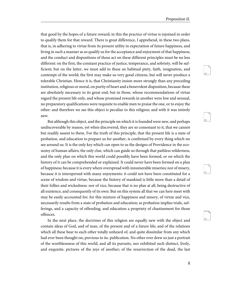<span id="page-11-1"></span><span id="page-11-0"></span> $20$ 

<span id="page-11-3"></span><span id="page-11-2"></span>21

22

that good by the hopes of a future reward; in this the practice of virtue is injoined in order to qualify them for that reward. There is great difference, I apprehend, in these two plans, that is, in adhering to virtue from its present utility in expectation of future happiness, and living in such a manner as so qualify us for the acceptance and enjoyment of that happiness; and the conduct and dispositions of those act on these different principles must be no less different: on the first, the constant practice of justice, temperance, and sobriety, will be sufficient; but on the latter, we must add to these an habitual piety, faith, resignation, and contempt of the world; the first may make us very good citizens, but will never produce a tolerable Christian. Hence it is, that Christianity insists more strongly than any preceding institution, religious or moral, on purity of heart and a benevolent disposition, because these are absolutely necessary to its great end; but in those, whose recommendations of virtue regard the present life only, and whose promised rewards in another were low and sensual, no preparatory qualifications were requisite to enable men to praise the one, or to enjoy the other: and therefore we see this object is peculiar to this religion; and with it was intirely new.

But although this object, and the principle on which it is founded were new, and perhaps undiscoverable by reason, yet when discovered, they are so consonant to it, that we cannot but readily assent to them. For the truth of this principle, that the present life is a state of probation, and education to prepare us for another, is confirmed by every thing which we see around us: It is the only key which can open to us the designs of Providence in the economy of human affairs; the only clue, which can guide us through that pathless wilderness, and the only plan on which this world could possibly have been formed, or on which the history of it can be comprehended or explained. It could never have been formed on a plan of happiness: because it is every where overspread with innumerable miseries; nor of misery, because it is interspersed with many enjoyments: it could not have been constituted for a scene of wisdom and virtue, because the history of mankind is little more than a detail of their follies and wickedness: nor of vice, because that is no plan at all, being destructive of all existence, and consequently of its own: But on this system all that we can here meet with may be easily accounted for; for this mixture of happiness and misery, of virtue and vice, necessarily results from a state of probation and education; as probation implies trials, sufferings, and a capacity of offending, and education a propriety of chastisement for those offences.

In the next place, the doctrines of this religion are equally new with the object and contain ideas of God, and of man, of the present and of a future life; and of the relations which all these bear to each other totally unheard of, and quite dissimilar from any which had ever been thought on, previous to its. publication. No other ever drew so just a portrait of the worthlessness of this world, and all its pursuits, nor exhibited such distinct, lively, and exquisite, pictures of the joys of another; of the resurrection of the dead, the last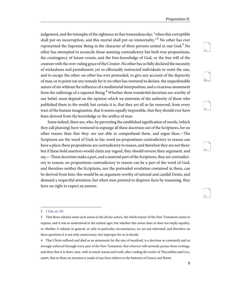<span id="page-12-3"></span><span id="page-12-2"></span><span id="page-12-1"></span>24

<span id="page-12-4"></span>25

<span id="page-12-5"></span>26

27

judgement, and the triumphs of the righteous in that tremendous day, "when this corruptible shall put on incorruption, and this mortal shall put on immortality."<sup>2</sup> No other has ever represented the Supreme Being in the character of three persons united in one God. $3$  No other has attempted to reconcile those seeming contradictory but both true propositions, the contingency of future events, and the fore-knowledge of God, or the free will of the creature with the over-ruling grace of the Creator. No other has so fully declared the necessity of wickedness and punishment; yet so effectually instructed individuals to resist the one, and to escape the other: no other has ever pretended, to give any account of the depravity of man, or to point out any remedy for it: no other has ventured to declare, the unpardonable nature of sin without the influence of a mediatorial interposition, and a vicarious atonement from the sufferings of a superior Being.<sup>4</sup> Whether these wonderful doctrines are worthy of our belief, must depend on the opinion which we entertain of the authority of those who published them to the world; but certain it is, that they are all so far removed, from every tract of the human imagination, that it seems equally impossible, that they should ever have been derived from the knowledge or the artifice of man.

Some indeed, there are, who, by perverting the established signification of words, (which they call plaining) have ventured to expunge all these doctrines out of the Scriptures, for no other reason than that they. are not able to comprehend them, and argue thus:—The Scriptures are the word of God; in his: word no propositions contradictory to reason can have a place; these propositions are contradictory to reason, and therefore they are not there: but if these bold assertors would claim any regard, they should reverse their argument, and say,—These doctrines make a part, and a material part of the Scriptures, they are contradictory to reason; no propositions contradictory to reason can be a part of the word of God, and therefore neither the Scriptures, nor the pretended revelation contained in them, can be derived from him: this would be an argument worthy of rational and candid Deists, and demand a respectful attention; but when men pretend to disprove facts by reasoning, they have no right to expect an answer.

<span id="page-12-0"></span><sup>2</sup> [1 Cor. xv. 53.](http://www.ccel.org/study/Bible:1Cor.15.53)

<sup>3</sup> That there subsists some such union in the divine nature, the whole tenour of the New Testament seems to express, and it was so understood in the earliest ages: but whether this union does or does not imply equality, or whether it subsists in general, or only in particular circumstances, we are not informed, and therefore on these questions it is not only unnecessary, but improper for us to decide.

<sup>4</sup> That Christ suffered and died as an atonement for the sins of mankind, is a doctrine so constantly and so strongly enforced through every part of the New Testament, that whoever will seriously peruse those writings, and deny that it is there, may, with as much reason and truth, after reading the works of Thucydides and Livy, assert, that in them no mention is made of any facts relative to the histories of Greece and Rome.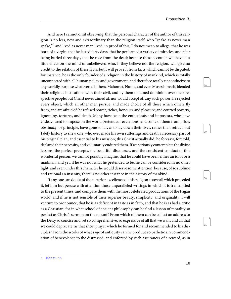<span id="page-13-3"></span><span id="page-13-2"></span><span id="page-13-1"></span>29

<span id="page-13-4"></span>31

And here I cannot omit observing, that the personal character of the author of this religion is no less, new and extraordinary than the religion itself, who "spake as never man spake," $^5$  and lived as never man lived: in proof of this, I do not mean to allege, that he was born of a virgin, that he fasted forty days, that he performed a variety of miracles, and after being buried three days, that he rose from the dead; because these accounts will have but little effect on the mind of unbelievers, who, if they believe not the religion, will give no credit to the relation of these facts; but I will prove it from facts which cannot be disputed: for instance, he is the only founder of a religion in the history of mankind, which is totally unconnected with all human policy and government, and therefore totally unconducive to any worldly purpose whatever: all others, Mahomet, Numa, and even Moses himself, blended their religious institutions with their civil, and by them obtained dominion over their respective people; but Christ never aimed at, nor would accept of, any such power; he rejected every object, which all other men pursue, and made choice of all those which others fly from, and are afraid of: he refused power, riches, honours, and pleasure; and courted poverty, ignominy, tortures, and death. Many have been the enthusiasts and impostors, who have endeavoured to impose on the world pretended revelations; and some of them from pride, obstinacy, or principle, have gone so far, as to lay down their lives, rather than retract; but I defy history to shew one, who ever made his own sufferings and death a necessary part of his original plan, and essential to his mission; this Christ actually did; he foresaw, foretold, declared their necessity, and voluntarily endured them. If we seriously contemplate the divine lessons, the perfect precepts, the beautiful discourses, and the consistent conduct of this wonderful person, we cannot possibly imagine, that he could have been either an idiot or a madman; and yet, if he was not what he pretended to be, he can be considered in no other light; and even under this character he would deserve some attention, because, of so sublime and rational an insanity, there is no other instance in the history of mankind.

If any one can doubt of the superior excellence of this religion above all which preceded it, let him but peruse with attention those unparalleled writings in which it is transmitted to the present times, and compare them with the most celebrated productions of the Pagan world; and if he is not sensible of their superior beauty, simplicity, and originality, I will venture to pronounce, that he is as deficient in taste as in faith, and that he is as bad a critic as a Christian: for in what school of ancient philosophy can he find a lesson of morality so perfect as Christ's sermon on the mount? From which of them can be collect an address to the Deity so concise and yet so comprehensive, so expressive of all that we want and all that we could deprecate, as that short prayer which he formed for and recommended to his disciples? From the works of what sage of antiquity can he produce so pathetic a recommendation of benevolence to the distressed, and enforced by such assurances of a reward, as in

<span id="page-13-0"></span><sup>5</sup> [John vii. 46](http://www.ccel.org/study/Bible:John.7.46).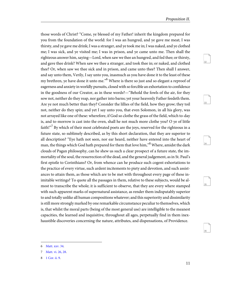<span id="page-14-5"></span><span id="page-14-4"></span><span id="page-14-3"></span>33

<span id="page-14-6"></span>34

<span id="page-14-7"></span>35

36

those words of Christ? "Come, ye blessed of my Father! inherit the kingdom prepared for you from the foundation of the world: for I was an hungred, and ye gave me meat; I was thirsty, and ye gave me drink; I was a stranger, and ye took me in; I was naked, and ye clothed me; I was sick, and ye visited me; I was in prison, and ye came unto me. Then shall the righteous answer him, saying—Lord, when saw we thee an hungred, and fed thee; or thirsty, and gave thee drink? When saw we thee a stranger, and took thee in; or naked, and clothed thee? Or, when saw we thee sick and in prison, and came unto thee? Then shall I answer, and say unto them, Verily, I say unto you, inasmuch as you have done it to the least of these my brethren, ye have done it unto me."<sup>6</sup> Where is there so just and so elegant a reproof of eagerness and anxiety in worldly pursuits, closed with so forcible an exhortation to confidence in the goodness of our Creator, as in these words?—"Behold the fowls of the air, for they sow not, neither do they reap, nor gather into barns; yet your heavenly Father feedeth them. Are ye not much better than they? Consider the lillies of the field, how they grow; they toil not, neither do they spin; and yet I say unto you, that even Solomon, in all his glory, was not arrayed like one of these: wherefore, if God so clothe the grass of the field, which to-day is, and to-morrow is cast into the oven, shall he not much more clothe you? O ye of little faith!"<sup>7</sup> By which of their most celebrated poets are the joys, reserved for the righteous in a future state, so sublimely described, as by this short declaration, that they are superior to all description? "Eye hath not seen, nor ear heard, neither have entered into the heart of man, the things which God hath prepared for them that love him,"<sup>8</sup> Where, amidst the dark clouds of Pagan philosophy, can he shew us such a clear prospect of a future state, the immortality of the soul, the resurrection of the dead, and the general judgement, as in St. Paul's first epistle to Corinthians? Or, from whence can he produce such cogent exhortations to the practice of every virtue, such ardent incitements to piety and devotion, and such assistances to attain them, as those which are to be met with throughout every page of these inimitable writings? To quote all the passages in them, relative to these subjects, would be almost to transcribe the whole; it is sufficient to observe, that they are every where stamped with such apparent marks of supernatural assistance, as render them indisputably superior to and totally unlike all human compositions whatever; and this superiority and dissimilarity is still more strongly marked by one remarkable circumstance peculiar to themselves, which is, that whilst the moral parts (being of the most general use) are intelligible to the meanest capacities, the learned and inquisitive, throughout all ages, perpetually find in them inexhaustible discoveries concerning the nature, attributes, and dispensations, of Providence.

<span id="page-14-2"></span><span id="page-14-1"></span><span id="page-14-0"></span>[Matt. xxv. 34](http://www.ccel.org/study/Bible:Matt.25.34).

<sup>7</sup> [Matt. vi. 26, 28.](http://www.ccel.org/study/Bible:Matt.6.26 Bible:Matt.6.28)

<sup>8</sup> [1 Cor. ii. 9.](http://www.ccel.org/study/Bible:1Cor.2.9)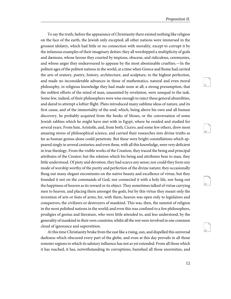<span id="page-15-0"></span>To say the truth, before the appearance of Christianity there existed nothing like religion on the face of the earth, the Jewish only excepted; all other nations were immersed in the grossest idolatry, which had little or no connection with morality, except to corrupt it by the infamous examples of their imaginary deities: they all worshipped a multiplicity of gods and dæmons, whose favour they courted by impious, obscene, and ridiculous, ceremonies, and whose anger they endeavoured to appease by the most abominable cruelties.—In the politest ages of the politest nations in the world, at a time when Greece and Rome had carried the arts of oratory, poetry, history, architecture, and sculpture, to the highest perfection, and made no inconsiderable advances in those of mathematics, natural and even moral philosophy, in religious knowledge they had made none at all; a strong presumption, that the noblest efforts of the mind of man, unassisted by revelation, were unequal to the task. Some few, indeed, of their philosophers were wise enough to reject these general absurdities, and dared to attempt a loftier flight. Plato introduced many sublime ideas of nature, and its first cause, and of the immortality of the soul; which, being above his own and all human discovery, he probably acquired from the books of Moses, or the conversation of some Jewish rabbies which he might have met with in Egypt, where he resided and studied for several years. From him, Aristotle, and, from both, Cicero, and some few others, drew most amazing stores of philosophical science, and carried their researches into divine truths as far as human genius alone could penetrate. But these were bright constellations which appeared singly in several centuries; and even these, with all this knowledge, were very deficient in true theology. From the visible works of the Creation, they traced the being and principal attributes of the Creator; but the relation which his being and attributes bear to man, they little understood. Of piety and devotion, they had scarce any sense; nor could they form any mode of worship worthy of the purity and perfection of the divine nature; they occasionally flung out many elegant encomiums on the native beauty and excellence of virtue, but they founded it not on the commands of God, nor connected it with a holy life, nor hung out the happiness of heaven as its reward or its object. They sometimes talked of virtue carrying men to heaven, and placing them amongst the gods, but by this virtue they meant only the invention of arts or feats of arms; for, with them, heaven was open only to legislators and conquerors, the civilizers or destroyers of mankind. This was, then, the summit of religion in the most polished nations in the world; and even this was confined to a few philosophers, prodigies of genius and literature, who were little attended to, and less understood, by the generality of mankind in their own countries; whilst all the rest were involved in one common cloud of ignorance and superstition.

At this time Christianity broke from the east like a rising, sun, and dispelled this universal darkness which obscured every part of the globe, and even at this day prevails in all those remoter regions to which its salutary influence has not as yet extended. From all those which it has reached, it has, notwithstanding its corruptions, banished all those enormities, and <span id="page-15-3"></span><span id="page-15-2"></span><span id="page-15-1"></span>40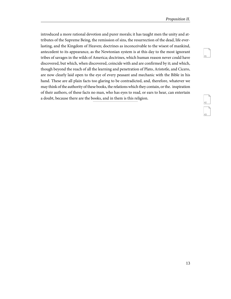introduced a more rational devotion and purer morals; it has taught men the unity and attributes of the Supreme Being, the remission of sins, the resurrection of the dead, life everlasting, and the Kingdom of Heaven; doctrines as inconceivable to the wisest of mankind, antecedent to its appearance, as the Newtonian system is at this day to the most ignorant tribes of savages in the wilds of America; doctrines, which human reason never could have discovered, but which, when discovered, coincide with and are confirmed by it; and which, though beyond the reach of all the learning and penetration of Plato, Aristotle, and Cicero, are now clearly laid open to the eye of every peasant and mechanic with the Bible in his hand. These are all plain facts too glaring to be contradicted, and, therefore, whatever we may think of the authority of these books, the relations which they contain, or the. inspiration of their authors, of these facts no man, who has eyes to read, or ears to hear, can entertain a doubt, because there are the books, and in them is this religion.

<span id="page-16-2"></span><span id="page-16-1"></span>

<span id="page-16-0"></span>41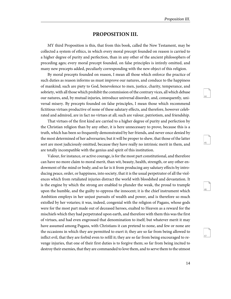<span id="page-17-3"></span><span id="page-17-2"></span><span id="page-17-1"></span>45

<span id="page-17-4"></span>46

47

### **PROPOSITION III.**

<span id="page-17-0"></span>MY third Proposition is this, that from this book, called the New Testament, may be collected a system of ethics, in which every moral precept founded on reason is carried to a higher degree of purity and perfection, than in any other of the ancient philosophers of preceding ages; every moral precept founded, on false principles is intirely omitted, and many new precepts added, peculiarly corresponding with the new object of this religion.

By moral precepts founded on reason, I mean all those which enforce the practice of such duties as reason informs us must improve our natures, and conduce to the happiness of mankind; such are piety to God, benevolence to men, justice, charity, temperance, and sobriety, with all those which prohibit the commission of the contrary vices, all which debase our natures, and, by mutual injuries, introduce universal disorder, and, consequently, universal misery. By precepts founded on false principles, I mean those which recommend fictitious virtues productive of none of these salutary effects, and therefore, however celebrated and admired, are in fact no virtues at all; such are valour, patriotism, and friendship.

That virtues of the first kind are carried to a higher degree of purity and perfection by the Christian religion than by any other, it is here unnecessary to prove, because this is a truth, which has been so frequently demonstrated by her friends, and never once denied by the most determined of her adversaries; but it will be proper to shew, that those of the latter sort are most judiciously omitted, because they have really no intrinsic merit in them, and are totally incompatible with the genius and spirit of this institution.

Valour, for instance, or active courage, is for the most part constitutional, and therefore can have no more claim to moral merit, than wit, beauty, health, strength, or any other endowment of the mind or body; and so far is it from producing any salutary effects by introducing peace, order, or happiness, into society, that it is the usual perpetrator of all the violences which from retaliated injuries distract the world with bloodshed and devastation. It is the engine by which the strong are enabled to plunder the weak, the proud to trample upon the humble, and the guilty to oppress the innocent; it is the chief instrument which Ambition employs in her unjust pursuits of wealth and power, and is therefore so much extolled by her votaries; it was, indeed, congenial with the religion of Pagans, whose gods were for the most part made out of deceased heroes, exalted to Heaven as a reward for the mischiefs which they had perpetrated upon earth, and therefore with them this was the first of virtues, and had even engrossed that denomination to itself; but whatever merit it may have assumed among Pagans, with Christians it can pretend to none, and few or none are the occasions in which they are permitted to exert it; they are so far from being allowed to inflict evil, that they are forbid even to refill it; they are so far from being encouraged to revenge injuries, that one of their first duties is to forgive them; so far from being incited to destroy their enemies, that they are commanded to love them, and to serve them to the utmost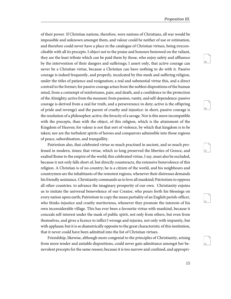<span id="page-18-2"></span><span id="page-18-1"></span><span id="page-18-0"></span>49

<span id="page-18-3"></span>50

<span id="page-18-4"></span>51

52

of their power. If Christian nations, therefore, were nations of Christians, all war would be impossible and unknown amongst them, and valour could be neither of use or estimation, and therefore could never have a place in the catalogue of Christian virtues, being irreconcileable with all its precepts. I object not to the praise and honours bestowed on the valiant, they are the least tribute which can be paid them by those, who enjoy safety and affluence by the intervention of their dangers and sufferings; I assert only, that active courage can never be a Christian virtue, because a Christian can have nothing to do with it. Passive courage is indeed frequently, and properly, inculcated by this meek and suffering religion, under the titles of patience and resignation; a real and substantial virtue this, and a direct contrail to the former; for passive courage arises from the noblest dispositions of the human mind, from a contempt of misfortunes, pain, and death, and a confidence in the protection of the Almighty; active from the meanest: from passion, vanity, and self-dependence: passive courage is derived from a zeal for truth, and a perseverance in duty; active is the offspring of pride and revenge) and the parent of cruelty and injustice: in short, passive courage is the resolution of a philosopher; active, the ferocity of a savage. Nor is this more incompatible with the precepts, than with the object, of this religion, which is the attainment of the Kingdom of Heaven; for valour is not that sort of violence, by which that kingdom is to be taken; nor are the turbulent spirits of heroes and conquerors admissible into those regions of peace, subordination, and tranquillity.

Patriotism also, that celebrated virtue so much practised in ancient, and so much professed in modern, times; that virtue, which so long preserved the liberties of Greece, and exalted Rome to the empire of the world; this celebrated virtue, I say, must also be excluded, because it not only falls short of, but directly counteracts, the extensive benevolence of this religion. A Christian is of no country; he is a citizen of the world, and his neighbours and countrymen are the inhabitants of the remotest regions, whenever their distresses demands his friendly assistance. Christianity commands us to love all mankind; Patriotism to oppress all other countries. to advance the imaginary prosperity of our own. Christianity enjoins us to imitate the universal benevolence of our Creator, who pours forth his blessings on every nation upon earth; Patriotism to copy the mean partiality of an English parish-officer, who thinks injustice and cruelty meritorious, whenever they promote the interests of his own inconsiderable village. This has ever been a favourite virtue with mankind, because it conceals self-interest under the mask of public spirit, not only from others, but even from themselves, and gives a licence to inflict l wrongs and injuries, not only with impunity, but with applause; but it is so diametrically opposite to the great characteristic of this institution, that it never could have been admitted into the list of Christian virtues.

Friendship, likewise, although more congenial to the principles of Christianity, arising from more tender and amiable dispositions, could never gain admittance amongst her benevolent precepts for the same reason; because it is too narrow and confined, and appropri-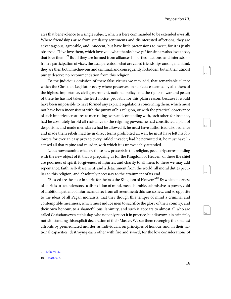<span id="page-19-4"></span><span id="page-19-3"></span><span id="page-19-2"></span>54

<span id="page-19-5"></span>55

56

ates that benevolence to a single subject, which is here commanded to be extended over all. Where friendships arise from similarity sentiments and disinterested affections, they are advantageous, agreeable, and innocent, but have little pretensions to merit; for it is justly observed, "If ye love them, which love you, what thanks have ye? for sinners also love those, that love them."<sup>9</sup> But if they are formed from alliances in parties, factions, and interests, or from a participation of vices, the dual parents of what are called friendships among mankind, they are then both mischievous and criminal, and consequently forbidden, but in their utmost purity deserve no recommendation from this religion.

To the judicious omission of these false virtues we may add, that remarkable silence which the Christian Legislator every where preserves on subjects esteemed by all others of the highest importance, civil government, national policy, and the rights of war and peace; of these he has not taken the least notice, probably for this plain reason, because it would have been impossible to have formed any explicit regulations concerning them, which must not have been inconsistent with the purity of his religion, or with the practical observance of such imperfect creatures as men ruling over, and contending with, each other; for instance, had he absolutely forbid all resistance to the reigning powers, he had constituted a plan of despotism, and made men slaves; had he allowed it, he must have authorised disobedience and made them rebels; had he in direct terms prohibited all war, he must have left his followers for ever an easy prey to every infidel invader; had he permitted it, he must have licensed all that rapine and murder, with which it is unavoidably attended.

Let us now examine what are those new precepts in this religion, peculiarly corresponding with the new object of it, that is preparing us for the Kingdom of Heaven: of these the chief are poorness of spirit, forgiveness of injuries, and charity to all men; to these we may add repentance, faith; self-abasement, and a detachment from the world, all moral duties peculiar to this religion, and absolutely necessary to the attainment of its end.

"Blessed are the poor in spirit; for theirs is the Kingdom of Heaven: $^{10}$  By which poorness of spirit is to be understood a disposition of mind, meek, humble, submissive to power, void of ambition, patient of injuries, and free from all resentment: this was so new, and so opposite to the ideas of all Pagan moralists, that they though this temper of mind a criminal and contemptible meanness, which must induce men to sacrifice the glory of their country, and their own honour, to a shameful pusillanimity; and such it appears to almost all who are called Christians even at this day, who not only reject it in practice, but disavow it in principle, notwithstanding this explicit declaration of their Master. We see them revenging the smallest affronts by premeditated murder, as individuals, on principles of honour; and, in their national capacities, destroying each other with fire and sword, for the low considerations of

<span id="page-19-1"></span><span id="page-19-0"></span><sup>9</sup> [Luke vi. 32.](http://www.ccel.org/study/Bible:Luke.6.32)

<sup>10</sup> [Matt. v. 3.](http://www.ccel.org/study/Bible:Matt.5.3)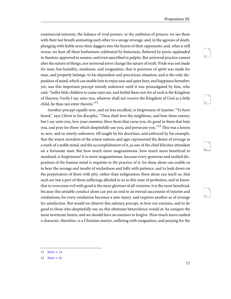<span id="page-20-3"></span><span id="page-20-2"></span>58

<span id="page-20-5"></span><span id="page-20-4"></span>59

commercial interests, the balance of rival powers, or the ambition of princes: we see them with their last breath animating each other to a savage revenge, and, in the agonies of death, plunging with feeble arms their daggers into the hearts of their opponents: and, what is still worse, we hear all these barbarisms celebrated by historians, flattered by poets; applauded in theatres, approved in senates, and even sanctified in pulpits. But universal practice cannot alter the nature of things, nor universal error change the nature of truth. Pride was not made for man, but humility, meekness, and resignation, that is poorness of spirit was made for man, and properly belongs. to his dependent and precarious situation; and is the only disposition of mind, which can enable him to enjoy ease and quiet here, and happiness hereafter: yet, was this important precept intirely unknown until it was promulgated by him, who said, "Suffer little children to come unto me, and forbid them not; for of such is the Kingdom of Heaven; Verily I say unto you, whoever shall not receive the Kingdom of God as a little child, he than not enter therein."<sup>11</sup>

Another precept equally new, and no less excellent, is forgiveness of injuries: "Ye have heard," says Christ to his disciples, "Thou shalt love thy neighbour, and hate thine enemy; but I say unto you, love your enemies; bless them that curse you, do good to them that hate you, and pray for them which despitefully use you, and persecute you."<sup>12</sup> This was a lesson so new, and so utterly unknown, till taught by his doctrines, and enforced by his example, that the wisest moralists of the wisest nations and ages represented the desire of revenge as a mark of a noble mind, and the accomplishment of it, as one of the chief felicities attendant on a fortunate man. But how much more magnanimous, how much more beneficial to mankind, is forgiveness! it is more magnanimous, because every generous and exalted disposition of the human mind is requisite to the practice of it: for these alone can enable us to bear the wrongs and insults of wickedness and folly with patience, and to look down on the perpetrators of them with pity, rather than indignation; these alone can teach us, that such are but a part of those sufferings allotted to us in this state of probation, and to know, that to overcome evil with good is the most glorious of all victories: it is the most beneficial, because this amiable conduct alone can put an end to an eternal succession of injuries and retaliations; for every retaliation becomes a new injury, and requires another as of revenge for satisfaction. But would we observe this salutary precept, to love our enemies, and to do good to those who despitefully use us; this obstinate benevolence would at. ha conquer the most inveterate hearts, and we should have no enemies to forgive. How much more exalted a character, therefore, is a Christian martyr, suffering with resignation, and praying for the

<span id="page-20-1"></span><span id="page-20-0"></span><sup>11</sup> [Matt. x. 14](http://www.ccel.org/study/Bible:Matt.10.14).

<sup>12</sup> [Matt. v. 43](http://www.ccel.org/study/Bible:Matt.5.43).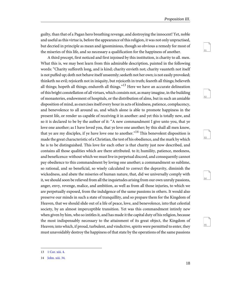<span id="page-21-6"></span><span id="page-21-5"></span><span id="page-21-4"></span><span id="page-21-3"></span>64

65

<span id="page-21-2"></span>guilty, than that of a Pagan hero breathing revenge, and destroying the innocent! Yet, noble and useful as this virtue is, before the appearance of this religion, it was not only unpractised, but decried in principle as mean and ignominious, though so obvious a remedy for most of the miseries of this life, and so necessary a qualification for the happiness of another.

A third precept, first noticed and first injoined by this institution, is charity to all. men. What this is, we may best learn from this admirable description, painted in the following words: "Charity suffereth long, and is kind; charity envieth not; charity vaunteth not itself is not puffed up; doth not behave itself unseemly; seeketh not her own; is not easily provoked; thinketh no evil; rejoiceth not in iniquity, but rejoiceth in truth; feareth all things; believeth all things; hopeth all things; endureth all things."<sup>13</sup> Here we have an accurate delineation of this bright constellation of all virtues, which consists not, as many imagine, in the building of monasteries, endowment of hospitals, or the distribution of alms, but in such an amiable disposition of mind, as exercises itself every hour in acts of kindness, patience, complacency, and benevolence to all around us, and which alone is able to promote happiness in the present life, or render us capable of receiving it in another: and yet this is totally new, and so it is declared to be by the author of it: "A new commandment I give unto you, that ye love one another; as I have loved you, that ye love one another; by this shall all men know, that ye are my disciples, if ye have love one to another."<sup>14</sup> This benevolent disposition is made the great characteristic of a Christian, the test of his obedience, and the mark by which he is to be distinguished. This love for each other is that charity just now described, and contains all those qualities which are there attributed. to it; humility, patience, meekness, and beneficence: without which we must live in perpetual discord, and consequently cannot pay obedience to this commandment by loving one another; a commandment so sublime, so rational, and so beneficial, so wisely calculated to correct the depravity, diminish the wickedness, and abate the miseries of human nature, that, did we universally comply with it, we should soon be relieved from all the inquietudes arising from our own unruly passions, anger, envy, revenge, malice, and ambition, as well as from all those injuries, to which we are perpetually exposed, from the indulgence of the same passions in others. It would also preserve our minds in such a state of tranquillity, and so prepare them for the Kingdom of Heaven, that we should slide out of a life of peace, love, and benevolence, into that celestial society, by an almost imperceptible transition. Yet was this commandment intirely new when given by him, who so intitles it, and has made it the capital duty of his religion, because the most indispensably necessary to the attainment of its great object, the Kingdom of Heaven; into which, if proud, turbulent, and vindictive, spirits were permitted to enter, they must unavoidably destroy the happiness of that state by the operations of the same passions

<span id="page-21-1"></span><span id="page-21-0"></span><sup>13</sup> [1 Cor. xiii. 4.](http://www.ccel.org/study/Bible:1Cor.13.4)

<sup>14</sup> [John. xiii. 34](http://www.ccel.org/study/Bible:John.13.34).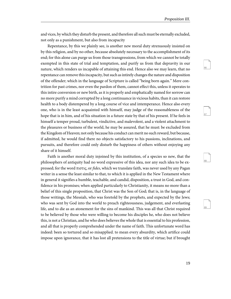<span id="page-22-3"></span><span id="page-22-2"></span><span id="page-22-1"></span><span id="page-22-0"></span>68

69

and vices, by which they disturb the present, and therefore all such must be eternally excluded, not only as a punishment, but also from incapacity

Repentance, by this we plainly see, is another new moral duty strenuously insisted on by this religion, and by no other, because absolutely necessary to the accomplishment of its end; for this alone can purge us from those transgressions, from which we cannot be totally exempted in this state of trial and temptation, and purify us from that depravity in our nature, which renders us incapable of attaining this end. Hence also we may learn, that no repentance can remove this incapacity, but such as intirely changes the nature and disposition of the offender; which in the language of Scripture is called "being born again." Mere contrition for past crimes, nor even the pardon of them, cannot effect this, unless it operates to this intire conversion or new birth, as it is properly and emphatically named for sorrow can no more purify a mind corrupted by a long continuance in vicious habits, than it can restore health to a body distempered by a long course of vice and intemperance. Hence also every one, who is in the least acquainted with himself, may judge of the reasonableness of the hope that is in him, and of his situation in a future state by that of his present. If he feels in himself a temper proud, turbulent, vindictive, and malevolent, and a violent attachment to the pleasures or business of the world, he may be assured, that he must: be excluded from the Kingdom of Heaven; not only because his conduct can merit no such reward, but because, if admitted, he would find there no objects satisfactory to his passions, inclinations, and pursuits, and therefore could only disturb the happiness of others without enjoying any share of it himself.

Faith is another moral duty injoined by this institution, of a species so new, that the philosophers of antiquity had no word expressive of this idea, nor any such idea to be expressed; for the word πιστις, or fides, which we translate faith, was never used by any Pagan writer in a sense the least similar to that, to which it is applied in the New Testament where in general it signifies a humble, teachable, and candid, disposition, a trust in God, and confidence in his promises; when applied particularly to Christianity, it means no more than a belief of this single proposition, that Christ was the Son of God; that is, in the language of those writings, the Messiah, who was foretold by the prophets, and expected by the Jews; who was sent by God into the world to preach righteousness, judgement, and everlasting life, and to die as an atonement for the sins of mankind. This was all that Christ required to be believed by those who were willing to become his disciples he, who does not believe this, is not a Christian, and he who does believes the whole that is essential to his profession, and all that is properly comprehended under the name of faith. This unfortunate word has indeed: been so tortured and so misapplied. to mean every absurdity, which artifice could impose upon ignorance, that it has lost all pretensions to the title of virtue; but if brought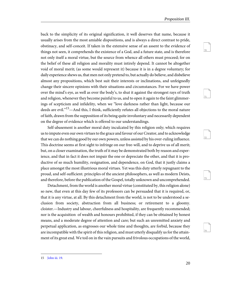<span id="page-23-3"></span><span id="page-23-2"></span><span id="page-23-1"></span>71

<span id="page-23-4"></span>72

<span id="page-23-5"></span>74

back to the simplicity of its original signification, it well deserves that name, because it usually arises from the most amiable dispositions, and is always a direct contrast to pride, obstinacy, and self-conceit. If taken in the extensive sense of an assent to the evidence of things not seen, it comprehends the existence of a God, and a future state, and is therefore not only itself a moral virtue, but the source from whence all others must proceed; for on the belief of these all religion and morality must intirely depend. It cannot be altogether void of moral merit; (as some would represent it) because it is in a degree voluntary; for daily experience shews us, that men not only pretend to, but actually do believe, and disbelieve almost any propositions, which best suit their interests or inclinations, and unfeignedly change their sincere opinions with their situations and circumstances. For we have power over the mind's eye, as well as over the body's, to shut it against the strongest rays of truth and religion, whenever they become painful to us, and to open it again to the faint glimmerings of scepticism and infidelity, when we "love darkness rather than light, because our deeds are evil."<sup>15</sup>—And this, I think, sufficiently refutes all objections to the moral nature of faith, drawn from the supposition of its being quite involuntary and necessarily dependent on the degree of evidence which is offered to our understandings.

Self-abasement is another moral duty inculcated by this religion only; which requires us to impute even our own virtues to the grace and favour of our Creator, and to acknowledge that we can do nothing good by our own powers, unless assisted by his over-ruling influence. This doctrine seems at first sight to infringe on our free-will, and to deprive us of all merit; but, on a closer examination, the truth of it may be demonstrated both by reason and experience, and that in fact it does not impair the one or depreciate the other, and that it is productive of so much humility, resignation, and dependence, on God, that it justly claims a place amongst the most illustrious moral virtues. Yet was this duty utterly repugnant to the proud, and self-sufficient. principles of the ancient philosophers, as well as modern Deists, and therefore, before the publication of the Gospel, totally unknown and uncomprehended.

Detachment, from the world is another moral virtue (constituted by, this religion alone) so new, that even at this day few of its professors can be persuaded that it is required, or, that it is any virtue, at all. By this detachment from the world, is not to be understood a seclusion from society, abstraction from all business; or retirement to a gloomy. cloister.—Industry and labour, cheerfulness and hospitality, are frequently recommended; nor is the acquisition of wealth and honours prohibited, if they can be obtained by honest means, and a moderate degree of attention and care; but such an unremitted anxiety and perpetual application, as engrosses our whole time and thoughts, are forbid, because they are incompatible with the spirit of this religion, and must utterly disqualify us for the attainment of its great end. We toil on in the vain pursuits and frivolous occupations of the world,

<span id="page-23-0"></span><sup>15</sup> [John iii. 19.](http://www.ccel.org/study/Bible:John.3.19)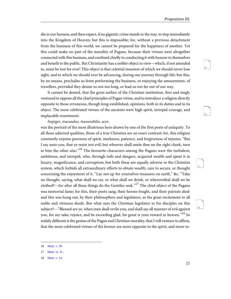<span id="page-24-4"></span><span id="page-24-3"></span>76

<span id="page-24-6"></span><span id="page-24-5"></span>77

die in our harness, and then expect, if no gigantic crime stands in the way, to step immediately into the Kingdom of Heaven; but this is impossible; for, without a previous detachment from the business of this world, we cannot be prepared for the happiness of another. Yet this could make no part of the morality of Pagans, because their virtues were altogether connected with this business, and confined chiefly in conducting it with honour to themselves and benefit to the public. But Christianity has a nobler object in view—which, if not attended to, must be lost for ever! This object is that celestial mansion of which we should never lose sight, and to which we should ever be advancing, during our journey through life; but this, by no means, precludes us from performing the business, or enjoying the amusements, of travellers, provided they detain us not too long, or lead us too far out of our way.

It cannot be denied, that the great author of the Christian institution, first and singly ventured to oppose all the chief principles of Pagan virtue, and to introduce a religion directly opposite to those erroneous, though long-established, opinions, both in its duties and in its object. The most celebrated virtues of the ancients were high spirit, intrepid courage, and implacable resentment.

#### Impiger, iracundus, inexorabilis, acer,

was the portrait of the most illustrious hero drawn by one of the first poets of antiquity. To all these admired qualities, those of a true Christian are an exact contrast; for, this religion constantly enjoins poorness of spirit, meekness, patience, and forgiveness of injuries. "But I say unto you, that ye resist not evil; but whoever shall smite thee on the right cheek, turn to him the other also."<sup>16</sup> The favourite characters among the Pagans were the turbulent, ambitious, and intrepid, who, through toils and dangers, acquired wealth and spent it in luxury, magnificence, and corruption; but both these are equally adverse to the Christian system, which forbids all extraordinary efforts to obtain wealth, care to secure, or thought concerning the enjoyment of it. "Lay not up for yourselves treasures on earth," &c. "Take no thought, saying, what shall we eat, or what shall we drink, or wherewithal shall we be clothed?—for after all these things do the Gentiles seek."<sup>17</sup> The chief object of the Pagans was immortal fame; for this, their poets sang, their heroes fought, and their patriots died: and this was hung out, by their philosophers and legislators, as the great incitement to all noble and virtuous deeds. But what says the Christian legislator to his disciples on this subject?—"Blessed are ye, when men shall revile you, and shall say all manner of evil against you, for my sake; rejoice, and be exceeding glad, for great is your reward in heaven."<sup>18</sup> So widely different is the genius of the Pagan and Christian morality, that I will venture to affirm, that the most celebrated virtues of the former are more opposite to the spirit, and more in-

<span id="page-24-2"></span><span id="page-24-1"></span><span id="page-24-0"></span><sup>16</sup> [Matt. v. 39](http://www.ccel.org/study/Bible:Matt.5.39).

<sup>17</sup> [Matt. vi. 31](http://www.ccel.org/study/Bible:Matt.6.31).

<sup>18</sup> [Matt. v. 14](http://www.ccel.org/study/Bible:Matt.5.14).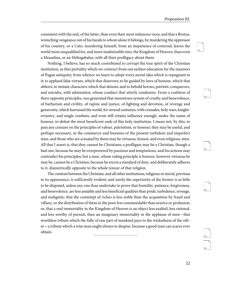<span id="page-25-3"></span><span id="page-25-2"></span><span id="page-25-1"></span><span id="page-25-0"></span>81

<span id="page-25-4"></span>82

<span id="page-25-5"></span>83

84

consistent with the end, of the latter, than even their most infamous vices; and that a Brutus, wrenching vengeance out of his hands to whom alone it belongs, by murdering the oppressor of his country, or a Cato, murdering himself, from an impatience of controul, leaves the world more unqualified for, and more inadmissible into, the Kingdom of Heaven, than even a Messalina, or an Heliogabalus, with all their profligacy about them.

Nothing, I believe, has so much contributed to corrupt the true spirit of the Christian institution, as that partiality which we contract from out earliest education for the manners of Pagan antiquity; from whence we learn to adopt every moral idea which is repugnant to it; to applaud false virtues, which that disavows; to be guided by laws of honour, which that abhors; to imitate characters which that detests; and to behold heroes, patriots, conquerors, and suicides, with admiration, whose conduct that utterly condemns. From a coalition of there opposite principles, was generated that monstrous system of cruelty and benevolence, of barbarism and civility, of rapine and justice, of fighting and devotion, of revenge and generosity, which harrassed the world, for several centuries, with crusades, holy wars, knighterrantry, and single combats, and even still retains influence enough, under the name of honour, to defeat the most beneficent ends of this holy institution. I mean not, by this, to pass any censure on the principles of valour, patriotism, or honour; they may be useful, and perhaps necessary, in the commerce and business of the present turbulent and imperfect state, and those who are actuated by them may be virtuous, honest, and even religious, men. All that I assert is, that they cannot be Christians; a profligate may be a Christian, though a bad one, because he may be overpowered by passions and temptations, and his actions may contradict his principles; but a man, whose ruling principle is honour, however virtuous he may be, cannot be a Christian, because he erects a standard of duty, and deliberately adheres to it, diametrically opposite to the whole tenour of that religion.

The contrast between the Christian, and all other institutions, religious or moral, previous to its appearance, is sufficiently evident; and surely the superiority of the former is as little to be disputed, unless any one than undertake to prove that humility, patience, forgiveness, and benevolence, are less amiable and less beneficial qualities than pride, turbulence, revenge, and malignity; that the contempt of riches is less noble than the acquisition by fraud and villany, or the distribution of them to the poor less commendable than avarice or profusion; or, that a real immortality in the Kingdom of Heaven is an object less exalted, less rational, and less worthy of pursuit, than an imaginary immortality in the applause of men—that worthless tribute which the folly of one part of mankind pays to the wickedness of the other—a tribute which a wise man ought always to despise, because a good man can scarce ever obtain.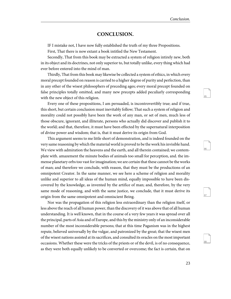<span id="page-26-4"></span><span id="page-26-3"></span><span id="page-26-2"></span>87

88

#### <span id="page-26-1"></span>**CONCLUSION.**

<span id="page-26-0"></span>IF I mistake not, I have now fully established the truth of my three Propositions.

First, That there is now extant a book intitled the New Testament.

Secondly, That from this book may be extracted a system of religion intirely new, both in its object and its doctrines, not only superior to, but totally unlike, every thing which had ever before entered into the mind of man.

Thirdly, That from this book may likewise be collected a system of ethics, in which every moral precept founded on reason is carried to a higher degree of purity and perfection, than in any other of the wisest philosophers of preceding ages; every moral precept founded on false principles totally omitted, and many new precepts added peculiarly corresponding with the new object of this religion.

Every one of these propositions, I am persuaded, is incontrovertibly true; and if true, this short, but certain conclusion must inevitably follow; That such a system of religion and morality could not possibly have been the work of any man, or set of men, much less of those obscure, ignorant, and illiterate, persons who actually did discover and publish it to the world; and that, therefore, it must have been effected by the supernatural interposition of divine power and wisdom; that is, that it must derive its origin from God.

This argument seems to me little short of demonstration, and is indeed founded on the very same reasoning by which the material world is proved to be the work his invisible hand. We view with admiration the heavens and the earth, and all therein contained; we contemplate with. amazement the minute bodies of animals too small for perception, and. the immense planetary orbs too vast for imagination; we are certain that these cannot be the works of man; and therefore we conclude, with reason, that they must be the productions of an omnipotent Creator. In the same manner, we see here a scheme of religion and morality unlike and superior to all ideas of the human mind, equally impossible to have been discovered by the knowledge, as invented by the artifice of man; and, therefore, by the very same mode of reasoning, and with the same justice, we conclude, that it must derive its origin from the same omnipotent and omniscient Being.

Nor was the propagation of this religion less extraordinary than the religion itself, or less above the reach of all human power, than the discovery of it was above that of all human understanding. It is well known, that in the course of a very few years it was spread over all the principal, parts of Asia and of Europe, and this by the ministry only of an inconsiderable number of the most inconsiderable persons; that at this time Paganism was in the highest repute, believed universally by the vulgar, and patronized by the great; that the wisest men of the wisest nations assisted at its sacrifices, and consulted its oracles on the most important occasions. Whether these were the tricks of the priests or of the devil, is of no consequence, as they were both equally unlikely to be converted or overcome; the fact is certain, that on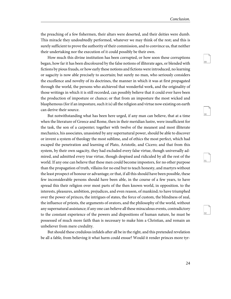<span id="page-27-1"></span><span id="page-27-0"></span>90

<span id="page-27-3"></span><span id="page-27-2"></span>91

92

the preaching of a few fishermen, their altars were deserted, and their deities were dumb. This miracle they undoubtedly performed, whatever we may think of the rest; and this is surely sufficient to prove the authority of their commission, and to convince us, that neither their undertaking nor the execution of it could possibly be their own.

How much this divine institution has been corrupted, or how soon these corruptions began, how far it has been discoloured by the false notions of illiterate ages, or blended with fictions by pious frauds, or how early these notions and fictions were introduced, no learning or sagacity is now able precisely to ascertain; but surely no man, who seriously considers the excellence and novelty of its doctrines, the manner in which it was at first propagated through the world, the persons who atchieved that wonderful work, and the originality of those writings in which it is still recorded, can possibly believe that it could ever have been the production of imposture or chance; or that from an imposture the most wicked and blasphemous (for if an imposture, such it is) all the religion and virtue now existing on earth can derive their source.

But notwithstanding what has been here urged, if any man can believe, that at a time when the literature of Greece and Rome, then in their meridian lustre, were insufficient for the task, the son of a carpenter; together with twelve of the meanest and most illiterate mechanics, his associates, unassisted by any supernatural power, should be able to discover or invent a system of theology the most sublime, and of ethics the most perfect, which had escaped the penetration and learning of Plato, Aristotle, and Cicero; and that from this system, by their own sagacity, they had excluded every false virtue, though universally admired, and admitted every true virtue, though despised and ridiculed by all the rest of the world. If any one can believe that these men could become impostors, for no other purpose than the propagation of truth, villains for no end but to teach honesty, and martyrs without the least prospect of honour or advantage; or that, if all this should have been possible, these few inconsiderable persons should have been able, in the course of a few years, to have spread this their religion over most parts of the then known world, in opposition. to the interests, pleasures, ambition, prejudices, and even reason, of mankind; to have triumphed over the power of princes, the intrigues of states, the force of custom, the blindness of zeal, the influence of priests, the arguments of orators, and the philosophy of the world, without any supernatural assistance; if any one can believe all these miraculous events, contradictory to the constant experience of the powers and dispositions of human nature, he must be possessed of much more faith than is necessary to make him a Christian, and remain an unbeliever from mere credulity.

But should these credulous infidels after all be in the right, and this pretended revelation be all a fable, from believing it what harm could ensue? Would it render princes more tyr-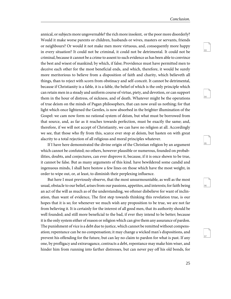<span id="page-28-2"></span><span id="page-28-1"></span><span id="page-28-0"></span>94

<span id="page-28-4"></span><span id="page-28-3"></span>96

97

annical, or subjects more ungovernable? the rich more insolent, or the poor more disorderly? Would it make worse parents or children, husbands or wives, masters or servants, friends or neighbours? Or would it not make men more virtuous, and, consequently more happy in every situation? It could not be criminal, it could not be detrimental. It could not be criminal, because it cannot be a crime to assent to such evidence as has been able to convince the best and wisest of mankind; by which, if false; Providence must have permitted men to deceive each other for the most beneficial ends, and which, therefore, it would be surely more meritorious to believe from a disposition of faith and charity, which believeth all things, than to reject with scorn from obstinacy and self-conceit. It cannot be detrimental, because if Christianity is a fable, it is a fable, the belief of which is the only principle which can retain men in a steady and uniform course of virtue, piety, and devotion, or can support them in the hour of distress, of sickness, and of death. Whatever might be the operations of true deism on the minds of Pagan philosophers, that can now avail us nothing; for that light which once lightened the Gentles, is now absorbed in the brighter illumination of the Gospel: we cam now form no rational system of deism, but what must be borrowed from that source, and, as far as it reaches towards perfection, must be exactly the same; and, therefore, if we will not accept of Christianity, we can have no religion at all. Accordingly we see, that those who fly from this, scarce ever stop at deism, but hasten on with great alacrity to a total rejection of all religious and moral principles whatever.

If I have here demonstrated the divine origin of the Christian religion by an argument which cannot be confuted; no others, however plausible or numerous, founded on probabilities, doubts, and conjectures, can ever disprove it, because, if it is once shewn to be true, it cannot be false. But as many arguments of this kind. have bewildered some candid and ingenuous minds, I shall here bestow a few lines on those which have the most weight, in order to wipe out, or, at least, to diminish their perplexing influence.

But here I must previously observe, that the most unsurmountable, as well as the most usual, obstacle to our belief, arises from our passions, appetites, and interests; for faith being an act of the will as much as of the understanding, we oftener disbelieve for want of inclination, than want of evidence, The first step towards thinking this revelation true, is our hopes that it is so; for whenever we much wish any proposition to be true, we are not far from believing it. It is certainly for the interest of all good men, that its authority should be well founded; and still more beneficial to the bad, if ever they intend to be better; because it is the only system either of reason or religion which can give them any assurance of pardon. The punishment of vice is a debt due to justice, which cannot be remitted without compensation; repentance can be no compensation; it may change a wicked man's dispositions, and prevent his offending for the future, but can lay no claim to pardon for what is past. If any one, by profligacy and extravagance, contracts a debt, repentance may make him wiser, and hinder him from running into farther distresses, but can never pay off his old bonds, for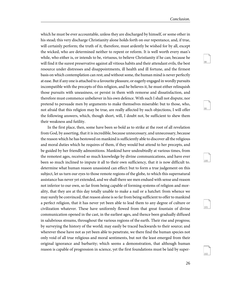<span id="page-29-3"></span><span id="page-29-2"></span><span id="page-29-1"></span><span id="page-29-0"></span>100

<span id="page-29-4"></span>101

102

which he must be ever accountable, unless they are discharged by himself, or some other in his stead; this very discharge Christianity alone holds forth on our repentance, and, if true, will certainly perform; the truth of it, therefore, must ardently be wished for by all, except the wicked, who are determined neither to repent or reform. It is well worth every man's while, who either is, or intends to be, virtuous, to believe Christianity if he can; because he will find it the surest preservative against all vitious habits and their attendant evils, the best resource under distresses and disappointments, ill health and ill fortune, and the firmest basis on which contemplation can rest; and without some, the human mind is never perfectly at ease. But if any one is attached to a favourite pleasure, or eagerly engaged in wordly pursuits incompatible with the precepts of this religion, and he believes it, he must either relinquish those pursuits with uneasiness, or persist in them with remorse and dissatisfaction, and therefore must commence unbeliever in his own defence. With such I shall not dispute, nor pretend to persuade men by arguments to make themselves miserable: but to those, who, not afraid that this religion may be true, are really affected by such objections, I will offer the following answers, which, though short, will, I doubt not, be sufficient to shew them their weakness and futility.

In the first place, then, some have been so bold as to strike at the root of all revelation from God, by asserting, that it is incredible, because unnecessary, and unnecessary, because the reason which he has bestowed on mankind is sufficiently able to discover all the religious and moral duties which he requires of them, if they would but attend to her precepts, and be guided by her friendly admonitions. Mankind have undoubtedly at various times, from the remotest ages, received so much knowledge by divine communications, and have ever been so much inclined to impute it all to their own sufficiency, that it is now difficult to. determine what human reason unassisted can effect: but to form a true judgement on this subject, let us turn our eyes to those remote regions of the globe, to which this supernatural assistance has never yet extended, and we shall there see men endued with sense and reason not inferior to our own, so far from being capable of forming systems of religion and morality, that they are at this day totally unable to make a nail or a hatchet: from whence we may surely be convinced, that reason alone is so far from being sufficient to offer to mankind a perfect religion, that it has never yet been able to lead them to any degree of culture or civilization whatever. These have uniformly flowed from that great fountain of divine communication opened in the cast, in the earliest ages, and thence been gradually diffused in salubrious streams, throughout the various regions of the earth. Their rise and progress; by surveying the history of the world; may easily be traced backwards to their source; and wherever these have not as yet been able to penetrate, we there find the human species not only void of all true religious and moral sentiments, but not the least emerged from their original ignorance and barbarity; which seems a demonstration, that although human reason is capable of progression in science, yet the first foundations must be laid by super-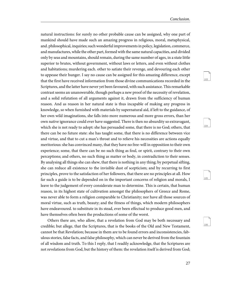<span id="page-30-1"></span><span id="page-30-0"></span>104

<span id="page-30-3"></span><span id="page-30-2"></span> $105$ 

106

natural instructions: for surely no other probable cause can be assigned, why one part of mankind should have made such an amazing progress in religious, moral, metaphysical, and. philosophical, inquiries; such wonderful improvements in policy, legislation, commerce, and manufactures, while the other part, formed with the same natural capacities, and divided only by seas and mountains, should remain, during the same number of ages, in a state little superior to brutes, without government, without laws or letters, and even without clothes and habitations; murdering each. other to satiate their revenge, and devouring each other to appease their hunger. I say no cause can be assigned for this amazing difference, except that the first have received information from those divine communications recorded in the Scriptures, and the latter have never yet been favoured, with such assistance. This remarkable contrast seems an unanswerable, though perhaps a new proof of the necessity of revelation, and a solid refutation of all arguments against it, drawn from the sufficiency of human reason. And as reason in her natural state is thus incapable of making any progress in knowledge, so when furnished with materials by supernatural aid, if left to the guidance, of her own wild imaginations, she falls into more numerous and more gross errors, than her own native ignorance could ever have suggested. There is then no absurdity so extravagant, which she is not ready to adopt: she has persuaded some, that there is no God; others, that there can be no future state: she has taught some, that there is no difference between vice and virtue, and that to cut a man's throat and to relieve his necessities are actions equally meritorious: she has convinced many, that they have no free-will in opposition to their own experience; some, that there can be no such thing as foul, or spirit, contrary to their own perceptions; and others, no such thing as matter or body, in contradiction to their senses. By analysing all things she can shew, that there is nothing in any thing; by perpetual sifting, she can reduce all existence to the invisible dust of scepticism; and by recurring to first principles, prove to the satisfaction of her followers, that there are no principles at all. How far such a guide is to be depended on in the important concerns of religion and morals, I leave to the judgement of every considerate man to determine. This is certain, that human reason, in its highest state of cultivation amongst the philosophers of Greece and Rome, was never able to form a religion comparable to Christianity; nor have all those sources of moral virtue, such as truth, beauty; and the fitness of things, which modern philosophers have endeavoured. to substitute in its stead, ever been effectual to produce good men, and have themselves often been the productions of some of the worst.

Others there are, who allow, that a revelation from God may be both necessary and credible; but allege, that the Scriptures, that is the books of the Old and New Testament, cannot be that Revelation; because in them are to be found errors and inconsistencies, fabulous stories, false facts, and false philosophy, which can never be derived from the fountain of all wisdom and truth. To this I reply, that I readily acknowledge, that the Scriptures are not revelations from God, but the history of them: the revelation itself is derived from God;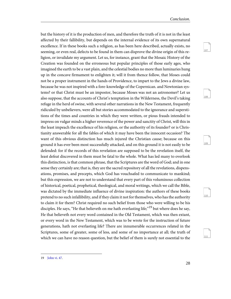<span id="page-31-2"></span><span id="page-31-1"></span>108

<span id="page-31-3"></span>109

<span id="page-31-5"></span><span id="page-31-4"></span>110

111

but the history of it is the production of men, and therefore the truth of it is not in the least affected by their fallibility, but depends on the internal evidence of its own supernatural excellence. If in these books such a religion, as has been here described, actually exists, no seeming, or even real, defects to be found in them can disprove the divine origin of this religion, or invalidate my argument. Let us, for instance, grant that the Mosaic History of the Creation was founded on the erroneous but popular principles of those early ages, who imagined the earth to be a vast plain, and the celestial bodies no more than luminaries hung up in the concave firmament to enlighten it; will it from thence follow, that Moses could not be a proper instrument in the hands of Providence, to impart to the Jews a divine law, because he was not inspired with a fore-knowledge of the Copernican. and Newtonian systems? or that Christ must be an impostor, because Moses was not an astronomer? Let us also suppose, that the accounts of Christ's temptation in the Wilderness, the Devil's taking refuge in the herd of swine, with several other narrations in the New Testament, frequently ridiculed by unbelievers, were all but stories accommodated to the ignorance and superstitions of the times and countries in which they were written, or pious frauds intended to impress on vulgar minds a higher reverence of the power and sanctity of Christ, will this in the least impeach the excellence of his religion, or the authority of its founder? or is Christianity answerable for all the fables of which it may have been the innocent occasion? The want of this obvious distinction has much injured the Christian cause; because on this ground it has ever been most successfully attacked, and on this ground it is not easily to be defended: for if the records of this revelation are supposed to be the revelation itself, the least defeat discovered in them must be fatal to the whole. What has led many to overlook this distinction, is that common phrase, that the Scriptures are the word of God; and in one sense they certainly are; that is, they are the sacred repository of all the revelations, dispensations, promises, and precepts, which God has vouchsafed to communicate to mankind; but this expression, we are not to understand that every part of this voluminous collection of historical, poetical, prophetical, theological, and moral writings, which we call the Bible, was dictated by the immediate influence of divine inspiration: the authors of these books pretend to no such infallibility, and if they claim it not for themselves, who has the authority to claim it for them? Christ required no such belief from those who were willing to be his disciples. He says, "He that believeth on me hath everlasting life;"<sup>19</sup> but where does he say, He that believeth not every word contained in the Old Testament, which was then extant, or every word in the New Testament, which was to be wrote for the instruction of future generations, hath not everlasting life? There are innumerable occurrences related in the Scriptures, some of greater, some of less, and some of no importance at all; the truth of which we can have no reason question, but the belief of them is surely not essential to the

<span id="page-31-0"></span><sup>19</sup> [John vi. 47](http://www.ccel.org/study/Bible:John.6.47).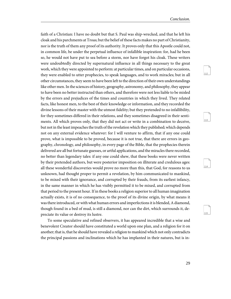<span id="page-32-2"></span><span id="page-32-1"></span><span id="page-32-0"></span>113

<span id="page-32-3"></span>114

115

faith of a Christian: I have no doubt but that S. Paul was ship-wrecked, and that he left his cloak and his parchments at Troas; but the belief of these facts makes no part of Christianity, nor is the truth of them any proof of its authority. It proves only that this Apostle could not, in common life, be under the perpetual influence of infallible inspiration: for, had he been so, he would not have put to sea before a storm, nor have forgot his cloak. These writers were undoubtedly directed by supernatural influence in all things necessary to the great work, which they were appointed to perform: at particular times, and on particular occasions, they were enabled to utter prophecies, to speak languages, and to work miracles; but in all other circumstances, they seem to have been left to the direction of their own understandings like other men. In the sciences of history, geography, astronomy, and philosophy, they appear to have been no better instructed than others, and therefore were not less liable to be misled by the errors and prejudices of the times and countries in which they lived. They related facts, like honest men, to the best of their knowledge or information, and they recorded the divine lessons of their master with the utmost fidelity; but they pretended to no infallibility, for they sometimes differed in their relations, and they sometimes disagreed in their sentiments. All which proves only, that they did not act or write in a combination to deceive, but not in the least impeaches the truth of the revelation which they published; which depends not on any external evidence whatever: for I will venture to affirm, that if any one could prove, what is impossible to be proved, because it is not true, that there are errors in geography, chronology, and philosophy, in every page of the Bible, that the prophecies therein delivered are all but fortunate guesses, or artful applications, and the miracles there recorded, no better than legendary tales: if any one could shew, that these books were never written by their pretended authors, but were posterior imposition on illiterate and credulous ages: all these wonderful discoveries would prove no more than this, that God, for reasons to us unknown, had thought proper to permit a revelation, by him communicated to mankind, to be mixed with their ignorance, and corrupted by their frauds, from its earliest infancy, in the same manner in which he has visibly permitted it to be mixed, and corrupted from that period to the present hour. If in these books a religion superior to all human imagination actually exists, it is of no consequence, to the proof of its divine origin, by what means it was there introduced, or with what human errors and imperfections it is blended, A diamond, though found in a bed of mud, is still a diamond, nor can the dirt, which surrounds it, depreciate its value or destroy its lustre.

To some speculative and refined observers, it has appeared incredible that a wise and benevolent Creator should have constituted a world upon one plan, and a religion for it on another; that is, that he should have revealed a religion to mankind which not only contradicts the principal passions and inclinations which he has implanted in their natures, but is in-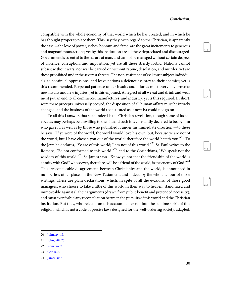<span id="page-33-6"></span><span id="page-33-5"></span>117

<span id="page-33-8"></span><span id="page-33-7"></span>118

119

compatible with the whole economy of that world which he has created, and in which he has thought proper to place them. This, say they, with regard to the Christian, is apparently the case:—the love of power, riches, honour, and fame, are the great incitements to generous and magnanimous actions; yet by this institution are all these depreciated and discouraged. Government is essential to the nature of man, and cannot be managed without certain degrees of violence, corruption, and imposition; yet are all these strictly forbid. Nations cannot subsist without wars, nor war be carried on without rapine, desolation, and murder; yet are these prohibited under the severest threats. The non-resistance of evil must subject individuals. to continual oppressions, and leave nations a defenceless prey to their enemies; yet is this recommended. Perpetual patience under insults and injuries must every day provoke new insults and new injuries; yet is this enjoined. A neglect of all we eat and drink and wear must put an end to all commerce, manufactures, and industry; yet is this required. In short, were these precepts universally obeyed, the disposition of all human affairs must be intirely changed, and the business of the world (constituted as it now is) could not go on.

To all this I answer, that such indeed is the Christian revelation, though some of its advocates may perhaps be unwilling to own it; and such it is constantly declared to be, by him who gave it, as well as by those who published it under his immediate direction:—to these he says, "If ye were of the world, the world would love his own; but, because ye are not of the world, but I have chosen you out of the world; therefore the world hateth you."<sup>20</sup> To the Jews he declares, "Ye are of this world; I am not of this world."<sup>21</sup> St. Paul writes to the Romans, "Be not conformed to this world  $122$  and to the Corinthians, "We speak not the wisdom of this world."<sup>23</sup> St. James says, "Know ye not that the friendship of the world is enmity with God? whosoever, therefore, will be a friend of the world, is the enemy of God." $^{24}$ This irreconcileable disagreement, between Christianity and the world, is announced in numberless other places in the New Testament, and indeed by the whole tenour of those writings. These are plain declarations, which, in spite of all the evasions. of those good managers, who choose to take a little of this world in their way to heaven, stand fixed and immoveable against all their arguments (drawn from public benefit and pretended necessity), and must ever forbid any reconciliation between the pursuits of this world and the Christian institution. But they, who reject it on this account, enter not into the sublime spirit of this religion, which is not a code of precise laws designed for the well-ordering society, adapted,

<span id="page-33-4"></span><span id="page-33-3"></span><span id="page-33-2"></span><span id="page-33-1"></span><span id="page-33-0"></span><sup>20</sup> [John, xv. 19](http://www.ccel.org/study/Bible:John.15.19).

<sup>21</sup> [John, viii. 23](http://www.ccel.org/study/Bible:John.8.23).

<sup>22</sup> [Rom. xii. 2.](http://www.ccel.org/study/Bible:Rom.12.2)

<sup>23</sup> [Cor. ii. 6.](http://www.ccel.org/study/Bible:1Cor.2.6)

<sup>24</sup> [James, iv. 4](http://www.ccel.org/study/Bible:Jas.4.4).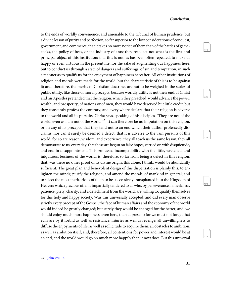<span id="page-34-3"></span><span id="page-34-2"></span><span id="page-34-1"></span>121

<span id="page-34-4"></span>122

<span id="page-34-5"></span>123

124

to the ends of worldly convenience, and amenable to the tribunal of human prudence, but a divine lesson of purity and perfection, so far superior to the low considerations of conquest, government, and commerce, that it takes no more notice of them than of the battles of gamecocks, the policy of bees, or the industry of ants; they recollect not what is the first and principal object of this institution; that this is not, as has been often repeated, to make us happy or even virtuous in the present life, for the sake of augmenting our happiness here, but to conduct us through a state of dangers and sufferings, of sin and temptation, in such a manner as to qualify us for the enjoyment of happiness hereafter. All other institutions of religion and morals were made for the world, but the characteristic of this is to be against it; and, therefore, the merits of Christian doctrines are not to be weighed in the scales of public utility, like those of moral precepts, because worldly utility is not their end. If Christ and his Apostles pretended that the religion, which they preached, would advance the power, wealth, and prosperity, of nations or of men, they would have deserved but little credit; but they constantly profess the contrary, and every where declare that their religion is adverse to the world and all its pursuits. Christ says, speaking of his disciples, "They are not of the world, even as I am not of the world."<sup>25</sup> It can therefore be no imputation on this religion, or on any of its precepts, that they tend not to an end which their author professedly disclaims; nor can it surely be deemed a defect, that it is adverse to the vain pursuits of this world, for so are reason, wisdom, and experience; they all teach us the same lesson; they all demonstrate to us, every day, that these are begun on false hopes, carried on with disquietude, and end in disappointment. This professed incompatibility with the little, wretched, and iniquitous, business of the world, is, therefore, so far from being a defect in this religion, that, was there no other proof of its divine origin, this alone, I think, would be abundantly sufficient. The great plan and benevolent design of this dispensation is plainly this, to enlighten the minds; purify the religion, and amend the morals, of mankind in general; and to select the most meritorious of them to be successively transplanted into the Kingdom of Heaven; which gracious offer is impartially tendered to all who, by perseverance in meekness, patience, piety, charity, and a detachment from the world, are willing to, qualify themselves for this holy and happy society. Was this universally accepted, and did every man observe strictly every precept of the Gospel, the face of human affairs and the economy of the world would indeed be greatly changed; but surely they would be changed for the better, and, we should enjoy much more happiness, even here, than at present: for we must not forget that evils are by it forbid as well as resistance; injuries as well as revenge; all unwillingness to diffuse the enjoyments of life, as well as sollicitude to acquire them; all obstacles to ambition, as well as ambition itself; and, therefore, all contentions for power and interest would be at an end, and the world would go on much more happily than it now does. But this universal

<span id="page-34-0"></span><sup>25</sup> [John xvii. 16.](http://www.ccel.org/study/Bible:John.17.16)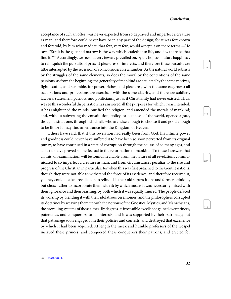<span id="page-35-3"></span><span id="page-35-2"></span><span id="page-35-1"></span>126

<span id="page-35-4"></span>127

128

acceptance of such an offer, was never expected from so depraved and imperfect a creature as man, and therefore could never have been any part of the design; for it was foreknown and foretold, by him who made it, that few, very few, would accept it on there terms.—He says, "Strait is the gate and narrow is the way which leadeth into life, and few there be that find it."<sup>26</sup> Accordingly, we see that very few are prevailed on, by the hopes of future happiness, to relinquish the pursuits of present pleasures or interests, and therefore these pursuits are little interrupted by the secession of so inconsiderable a number. As the natural world subsists by the struggles of the same elements, so does the moral by the contentions of the same passions, as from the beginning; the generality of mankind are actuated by the same motives, fight, scuffle, and scramble, for power, riches, and pleasures, with the same eagerness; all occupations and professions are exercised with the same alacrity, and there are soldiers, lawyers, statesmen, patriots, and politicians, just as if Christianity had never existed. Thus, we see this wonderful dispensation has answered all the purposes for which it was intended: it has enlightened the minds, purified the religion, and amended the morals of mankind; and, without subverting the constitution, policy, or business, of the world, opened a gate, though a strait one, through which all, who are wise enough to choose it and good enough to be fit for it, may find an entrance into the Kingdom of Heaven.

Others have said, that if this revelation had really been from God, his infinite power and goodness could never have suffered it to have been so soon perverted from its original purity, to have continued in a state of corruption through the course of so many ages, and at last to have proved so ineffectual to the reformation of mankind. To these I answer, that all this, on examination, will be found inevitable, from the nature of all revelations communicated to so imperfect a creature as man, and from circumstances peculiar to the rise and progress of the Christian in particular; for when this was first preached to the Gentile nations, though they were not able to withstand the force of its evidence, and therefore received it, yet they could not be prevailed on to relinquish their old superstitions and former opinions, but chose rather to incorporate them with it; by which means it was necessarily mixed with their ignorance and their learning, by both which it was equally injured. The people defaced its worship by blending it with their idolatrous ceremonies, and the philosophers corrupted its doctrines by weaving them up with the notions of the Gnostics, Mystics, and Manichæans, the prevailing systems of those times. By degrees its irresistible excellence gained over princes, potentates, and conquerors, to its interests, and it was supported by their patronage; but that patronage soon engaged it in their policies and contests, and destroyed that excellence by which it had been acquired. At length the meek and humble professors of the Gospel inslaved these princes, and conquered these conquerors their patrons, and erected for

<span id="page-35-0"></span><sup>26</sup> [Matt. vii. 4.](http://www.ccel.org/study/Bible:Matt.7.4)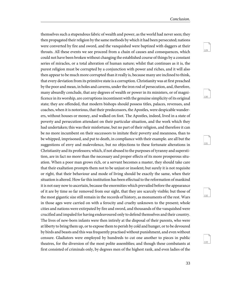<span id="page-36-1"></span><span id="page-36-0"></span>130

<span id="page-36-3"></span><span id="page-36-2"></span>131

<span id="page-36-4"></span>132

133

themselves such a stupendous fabric of wealth and power, as the world had never seen; they then propagated their religion by the same methods by which it had been persecuted; nations were converted by fire and sword, and the vanquished were baptized with daggers at their throats. All these events we see proceed from a chain of causes and consequences, which could not have been broken without changing the established course of things by a constant series of miracles, or a total alteration of human nature; whilst that continues as it is, the purest religion must be corrupted by a conjunction with power and riches, and it will also then appear to be much more corrupted than it really is, because many are inclined to think, that every deviation from its primitive state is a corruption. Christianity was at first preached by the poor and mean, in holes and caverns, under the iron rod of persecution, and, therefore, many absurdly conclude, that any degrees of wealth or power in its ministers, or of magnificence in its worship, are corruptions incontinent with the genuine simplicity of its original state; they are offended, that modern bishops should possess titles, palaces, revenues, and coaches, when it is notorious, that their predecessors, the Apostles, were despicable wanderers, without houses or money, and walked on foot. The Apostles, indeed, lived in a state of poverty and persecution attendant on their particular situation, and the work which they had undertaken; this was their misfortune, but no part of their religion, and therefore it can be no more incumbent on their successors to imitate their poverty and meanness, than to be whipped, imprisoned, and put to death, in compliance with their example. are all but the suggestions of envy and malevolence, but no objections to these fortunate alterations in Christianity and its professors; which, if not abused to the purposes of tyranny and superstition, are in fact no more than the necessary and proper effects of its more prosperous situation. When a poor man grows rich, or a servant becomes a master, they should take care that their exaltation prompts them not to be unjust or insolent; but surely it is not requisite or right, that their behaviour and mode of living should be exactly the same, when their situation is altered. How far this institution has been effectual to the reformation of mankind it is not easy now to ascertain, because the enormities which prevailed before the appearance of it are by time so far removed from our sight, that they are scarcely visible; but those of the most gigantic size still remain in the records of history, as monuments of the rest. Wars in those ages were carried on with a ferocity and cruelty unknown to the present; whole cities and nations were extirpated by fire and sword, and thousands of the vanquished were crucified and impaled for having endeavoured only to defend themselves and their country. The lives of new-born infants were then intirely at the disposal of their parents, who were at liberty to bring them up, or to expose them to perish by cold and hunger, or to be devoured by birds and beasts and this was frequently practised without punishment, and even without censure. Gladiators were employed by hundreds to cut one another to pieces in public theatres, for the diversion of the most polite assemblies; and though these combatants at first consisted of criminals only, by degrees men of the highest rank, and even ladies of the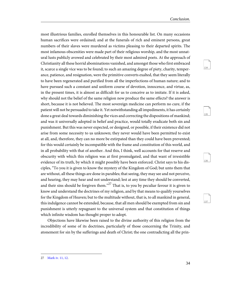<span id="page-37-2"></span><span id="page-37-1"></span>135

<span id="page-37-4"></span><span id="page-37-3"></span>136

137

most illustrious families, enrolled themselves in this honourable list. On many occasions human sacrifices were ordained; and at the funerals of rich and eminent persons, great numbers of their slaves were murdered as victims pleasing to their departed spirits. The most infamous obscenities were made part of their religious worship, and the most unnatural lusts publicly avowed and celebrated by their most admired poets. At the approach of Christianity all these horrid abominations vanished, and amongst those who first embraced it, scarce a single vice was to be found; to such an amazing degree of piety, charity, temperance, patience, and resignation, were the primitive converts exalted, that they seem literally to have been regenerated and purified from all the imperfections of human nature; and to have pursued such a constant and uniform course of devotion, innocence, and virtue, as, in the present times, it is almost as difficult for us to conceive as to imitate. If it is asked, why should not the belief of the same religion now produce the same effects? the answer is short, because it is not believed. The most sovereign medicine can perform no cure, if the patient will not be persuaded to take it. Yet notwithstanding all impediments, it has certainly done a great deal towards diminishing the vices and correcting the dispositions of mankind; and was it universally adopted in belief and practice, would totally eradicate both sin and punishment. But this was never expected, or designed, or possible, if their existence did not arise from some necessity to us unknown; they never would have been permitted to exist at all, and, therefore, they can no more be extirpated than they could have been prevented; for this would certainly be incompatible with the frame and constitution of this world, and in all probability with that of another. And this, I think, well accounts for that reserve and obscurity with which this religion was at first promulgated, and that want of irresistible evidence of its truth, by which it might possibly have been enforced. Christ says to his disciples, "To you it is given to know the mystery of the Kingdom of God; but unto them that are without, all these things are done in parables; that seeing, they may see and not perceive, and hearing, they may hear and not understand; lest at any time they should be converted, and their sins should be forgiven them."<sup>27</sup> That is, to you by peculiar favour it is given to know and understand the doctrines of my religion, and by that means to qualify yourselves for the Kingdom of Heaven; but to the multitude without, that is, to all mankind in general, this indulgence cannot be extended, because, that all men should be exempted from sin and punishment is utterly repugnant to the universal system and that constitution of things which infinite wisdom has thought proper to adopt.

<span id="page-37-0"></span>Objections have likewise been raised to the divine authority of this religion from the incredibility of some of its doctrines, particularly of those concerning the Trinity, and atonement for sin by the sufferings and death of Christ; the one contradicting all the prin-

<sup>27</sup> [Mark iv. 11, 12.](http://www.ccel.org/study/Bible:Mark.4.11-Mark.4.12)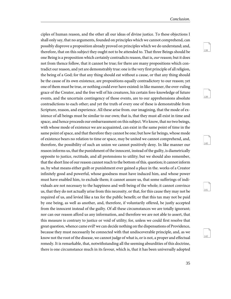<span id="page-38-1"></span><span id="page-38-0"></span>139

<span id="page-38-3"></span><span id="page-38-2"></span>140

<span id="page-38-4"></span>141

142

ciples of human reason, and the other all our ideas of divine justice. To these objections I shall only say, that no arguments, founded on principles which we cannot comprehend, can possibly disprove a proposition already proved on principles which we do understand; and, therefore, that on this subject they ought not to be attended to. That three Beings should be one Being is a proposition which certainly contradicts reason, that is, our reason; but it does not from thence follow, that it cannot be true; for there are many propositions which contradict our reason, and yet are demonstrably true: one is the very first principle of all religion, the being of a God; for that any thing should eat without a cause, or that any thing should be the cause of its own existence, are propositions equally contradictory to our reason; yet one of them must be true, or nothing could ever have existed: in like manner, the over-ruling grace of the Creator, and the free will of his creatures, his certain fore-knowledge of future events, and the uncertain contingency of those events, are to our apprehensions absolute contradictions to each other; and yet the truth of every one of these is demonstrable from Scripture, reason, and experience. All these arise from. our imagining, that the mode of existence of all beings must be similar to our own; that is, that they must all exist in time and space;. and hence proceeds our embarrassment on this subject. We know, that no two beings, with whose mode of existence we are acquainted, can exist in the same point of time in the same point of space, and that therefore they cannot be one; but how far beings, whose mode of existence bears no relation to time or space, may be united we cannot comprehend, and, therefore, the possibility of such an union we cannot positively deny. In like manner our reason informs us, that the punishment of the innocent, instead of the guilty, is diametrically opposite to justice, rectitude, and all pretensions to utility; but we should also remember, that the short line of our reason cannot reach to the bottom of this. question; it cannot inform us, by what means either guilt or punishment ever gained a place in the. works of a Creator infinitely good and powerful, whose goodness must have induced him, and whose power must have enabled him, to exclude them; it cannot assure us, that some sufferings of individuals are not necessary to the happiness and well-being of the whole; it cannot convince us, that they do not actually arise from this necessity, or that, for this cause they may not be required of us, and levied like a tax for the public benefit; or that this tax may not be paid by one being, as well as another, and, therefore, if voluntarily offered, be justly accepted from the innocent instead of the guilty. Of all these circumstances we are totally ignorant; nor can our reason afford us any information, and therefore we are not able to assert, that this measure is contrary to justice or void of utility; for, unless we could first resolve that great question, whence came evil? we can decide nothing on the dispensations of Providence, because they must necessarily be connected with that undiscoverable principle, and, as we know not the root of the disease, we cannot judge of what is, or is not, a proper and effectual remedy. It is remarkable, that, notwithstanding all the seeming absurdities of this doctrine, there is one circumstance much in its favour, which is, that it has been universally adopted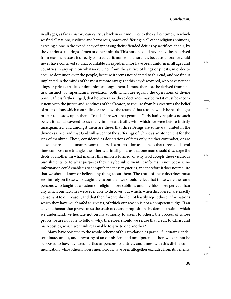<span id="page-39-1"></span><span id="page-39-0"></span>144

<span id="page-39-3"></span><span id="page-39-2"></span>145

<span id="page-39-4"></span>146

147

in all ages, as far as history can carry us back in our inquiries to the earliest times; in which we find all nations, civilized and barbarous, however differing in all other religious opinions, agreeing alone in the expediency of appeasing their offended deities by sacrifices, that is, by the vicarious sufferings of men or other animals. This notion could never have been derived from reason, because it directly contradicts it; nor from ignorance, because ignorance could never have contrived so unaccountable an expedient, nor have been uniform in all ages and countries in any opinion whatsoever; nor from the artifice of kings or priests, in order to acquire dominion over the people, because it seems not adapted to this end, and we find it implanted in the minds of the most remote savages at this day discovered, who have neither kings or priests artifice or dominion amongst them. It must therefore be derived from natural instinct, or supernatural revelation, both which are equally the operations of divine power. If it is farther urged, that however true these doctrines may be, yet it must be inconsistent with the justice and goodness of the Creator, to require from his creatures the belief of propositions which contradict, or are above the reach of that reason, which he has thought proper to bestow upon them. To this I answer, that genuine Christianity requires no such belief; it has discovered to us many important truths with which we were before intirely unacquainted, and amongst them are these, that three Beings are some way united in the divine essence, and that God will accept of the sufferings of Christ as an atonement for the sins of mankind. These, considered as declarations of facts only, neither contradict, or are above the reach of human reason: the first is a proposition as plain, as that three equilateral lines compose one triangle; the other is as intelligible, as that one man should discharge the debts of another. In what manner this union is formed, or why God accepts these vicarious punishments, or to what purposes they may be subservient, it informs us not, because no information could enable us to comprehend these mysteries, and therefore it does not require that we should know or believe any thing about them. The truth of these doctrines must rest intirely on those who taught them; but then we should reflect that those were the same persons who taught us a system of religion more sublime, and of ethics more perfect, than any which our faculties were ever able to discover, but which, when discovered, are exactly consonant to our reason, and that therefore we should not hastily reject those informations which they have vouchsafed to give us, of which our reason is not a competent judge. If an able mathematician proves to us the truth of several propositions by demonstrations which we underhand, we hesitate not on his authority to assent to others, the process of whose proofs we are not able to follow; why, therefore, should we refuse that credit to Christ and his Apostles, which we think reasonable to give to one another?

Many have objected to the whole scheme of this revelation as partial, fluctuating, indeterminate, unjust, and unworthy of an omniscient and omnipotent author, who cannot be supposed to have favoured particular persons, countries, and times, with this divine communication, while others, no less meritorious, have been altogether excluded from its benefits;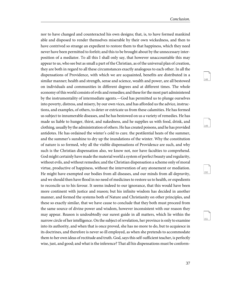<span id="page-40-2"></span><span id="page-40-1"></span><span id="page-40-0"></span>149

<span id="page-40-3"></span>150

151

nor to have changed and counteracted his own designs; that, is, to have formed mankind able and disposed to render themselves miserable by their own wickedness, and then to have contrived so strange an expedient to restore them to that happiness, which they need never have been permitted to forfeit; and this to be brought about by the unnecessary interposition of a mediator. To all this I shall only say, that however unaccountable this may appear to us, who see but as small a part of the Christian, as of the universal plan of creation, they are both in regard to all these circumstances exactly analogous to each other. In all the dispensations of Providence, with which we are acquainted, benefits are distributed in a similar manner; health and strength, sense and science, wealth and power, are all bestowed on individuals and communities in different degrees and at different times. The whole economy of this world consists of evils and remedies; and these for the most part administered by the instrumentality of intermediate agents.—God has permitted us to plunge ourselves into poverty, distress, and misery, by our own vices, and has afforded us the advice, instructions, and examples, of others, to deter or extricate us from these calamities. He has formed us subject to innumerable diseases, and he has bestowed on us a variety of remedies. He has made us liable to hunger, thirst, and nakedness, and he supplies us with food, drink, and clothing, usually by the administration of others. He has created poisons, and he has provided antidotes. He has ordained the winter's cold to cure. the pestilential heats of the summer, and the summer's sunshine to dry up the inundations of the winter. Why the constitution of nature is so formed, why all the visible dispensations of Providence are such, and why such is the Christian dispensation also, we know not, nor have faculties to comprehend. God might certainly have made the material world a system of perfect beauty and regularity, without evils, and without remedies; and the Christian dispensation a scheme only of moral virtue, productive of happiness, without the intervention of any atonement or mediation. He might have exempted our bodies from all diseases, and our minds from all depravity, and we should then have flood in no need of medicines to restore us to health, or expedients to reconcile us to his favour. It seems indeed to our ignorance, that this would have been more continent with justice and reason; but his infinite wisdom has decided in another manner, and formed the systems both of Nature and Christianity on other principles, and these so exactly similar, that we have cause to conclude that they both must proceed from the same source of divine power and wisdom, however inconsistent with our reason they may appear. Reason is undoubtedly our surest guide in all matters, which lie within the narrow circle of her intelligence. On the subject of revelation, her province is only to examine into its authority, and when that is once proved, she has no more to do, but to acquiesce in its doctrines, and therefore is never so ill employed, as when she pretends to accommodate them to her own ideas of rectitude and truth. God, says this self-sufficient teacher, is perfectly wise, just, and good; and what is the inference? That all his dispensations must be conform-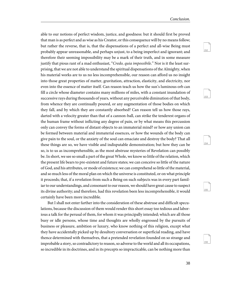<span id="page-41-1"></span><span id="page-41-0"></span>153

<span id="page-41-3"></span><span id="page-41-2"></span>154

<span id="page-41-4"></span>155

156

able to our notions of perfect wisdom, justice, and goodness: but it should first be proved that man is as perfect and as wise as his Creator, or this consequence will by no means follow; but rather the reverse, that is, that the dispensations of a perfect and all-wise Being must probably appear unreasonable, and perhaps unjust, to a being imperfect and ignorant; and therefore their seeming impossibility may be a mark of their truth, and in some measure justify that pious rant of a mad enthusiast, "Credo, quia impossibile." Nor is it the least surprising, that we are not able to understand the spiritual dispensations of the Almighty, when his material works are to us no less incomprehensible, our reason can afford us no insight into those great properties of matter, gravitation, attraction, elasticity, and electricity, nor even into the essence of matter itself. Can reason teach us how the sun's luminous orb can fill a circle whose diameter contains many millions of miles, with a constant inundation of successive rays during thousands of years, without any perceivable diminution of that body, from whence they are continually poured, or any augmentation of those bodies on which they fall, and by which they are constantly absorbed? Can reason tell us how those rays, darted with a velocity greater than that of a cannon-ball, can strike the tenderest organs of the human frame without inflicting any degree of pain, or by what means this percussion only can convey the forms of distant objects to an immaterial mind? or how any union can be formed between material and immaterial essences, or how the wounds of the body can give pain to the soul, or the anxiety of the soul can emaciate and destroy the body? That all these things are so, we have visible and indisputable demonstration; but how they can be so, is to us as incomprehensible, as the most abstruse mysteries of Revelation can possibly be. In short, we see so small a part of the great Whole, we know so little of the relation, which the present life bears to pre-existent and future states; we can conceive so little of the nature of God, and his attributes, or mode of existence; we can comprehend so little of the material, and so much less of the moral plan on which the universe is constituted, or on what principle it proceeds; that, if a revelation from such a Being on such subjects was in every part familiar to our understandings, and consonant to our reason, we should have great cause to suspect its divine authority; and therefore, had this revelation been less incomprehensible, it would certainly have been more incredible.

But I shall not enter farther into the consideration of these abstruse and difficult speculations, because the discussion of them would render this short essay too tedious and laborious a talk for the perusal of them, for whom it was principally intended; which are all those busy or idle persons, whose time and thoughts are wholly engrossed by the pursuits of business or pleasure, ambition or luxury, who know nothing of this religion, except what they have accidentally picked up by desultory conversation or superficial reading, and have thence determined with themselves, that a pretended revelation founded on so strange and improbable a story, so contradictory to reason, so adverse to the world and all its occupations, so incredible in its doctrines, and in its precepts so impracticable, can be nothing more than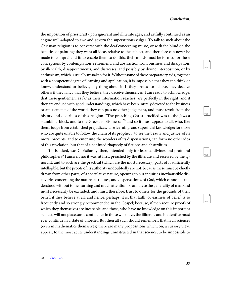<span id="page-42-3"></span><span id="page-42-2"></span><span id="page-42-1"></span>158

<span id="page-42-4"></span>159

160

the imposition of priestcraft upon ignorant and illiterate ages, and artfully continued as an engine well-adapted to awe and govern the superstitious vulgar. To talk to such about the Christian religion is to converse with the deaf concerning music, or with the blind on the beauties of painting: they want all ideas relative to the subject, and therefore can never be made to comprehend it: to enable them to do this, their minds must be formed for these conceptions by contemplation, retirement, and abstraction from business and dissipation, by ill-health, disappointments, and distresses; and possibly by divine interposition, or by enthusiasm, which is usually mistaken for it. Without some of these preparatory aids, together with a competent degree of learning and application, it is impossible that they can think or know, understand or believe, any thing about it. If they profess to believe, they deceive others; if they fancy that they believe, they deceive themselves. I am ready to acknowledge, that these gentlemen, as far as their information reaches, are perfectly in the right; and if they are endued with good understandings, which have been intirely devoted to the business or amusements of the world, they can pass no other judgement, and must revolt from the history and doctrines of this religion. "The preaching Christ crucified was to the Jews a stumbling-block, and to the Greeks foolishness; $^{28}$  and so it must appear to all, who, like them, judge from established prejudices, false learning, and superficial knowledge; for those who are quite unable to follow the chain of its prophecy, to see the beauty and justice, of its moral precepts, and to enter into the wonders of its dispensations, can form no other idea of this revelation, but that of a confuted rhapsody of fictions and absurdities.

<span id="page-42-0"></span>If it is asked, was Christianity, then, intended only for learned divines and profound philosophers? I answer, no; it was, at first, preached by the illiterate and received by the ignorant, and to such are the practical (which are the most necessary) parts of it sufficiently intelligible; but the proofs of its authority undoubtedly are not, because these must be chiefly drawn from other parts, of a speculative nature, opening to our inquiries inexhaustible discoveries concerning the nature, attributes, and dispensations, of God, which cannot be understood without tome learning and much attention. From these the generality of mankind must necessarily be excluded, and must, therefore, trust to others for the grounds of their belief, if they believe at all; and hence, perhaps, it is, that faith, or easiness of belief, is so frequently and so strongly recommended in the Gospel; because, if men require proofs of which they themselves are incapable, and those, who have no knowledge on this important subject, will not place some confidence in those who have, the illiterate and inattentive must ever continue in a state of unbelief. But then all such should remember, that in all sciences (even in mathematics themselves) there are many propositions which, on, a cursory view, appear, to the most acute understandings uninstructed in that science, to be impossible to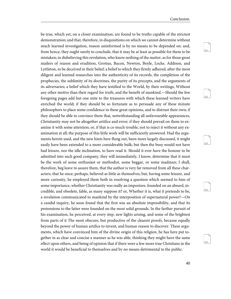<span id="page-43-1"></span><span id="page-43-0"></span>162

<span id="page-43-3"></span><span id="page-43-2"></span>163

<span id="page-43-4"></span>164

163

be true, which yet, on a closer examination, are found to be truths capable of the strictest demonstration; and that, therefore, in disquisitions on which we cannot determine without much learned investigation, reason uninformed is by no means to be depended on: and, from hence, they ought surely to conclude, that it may be at least as possible for them to be mistaken; in disbelieving this revelation, who know nothing of the matter, as for those great mailers of reason and erudition, Grotius, Bacon, Newton, Boyle, Locke, Addison, and Lyttleton, to be deceived in their belief; a belief to which they firmly adhered, after the most diligent and learned researches into the authenticity of its records, the completion of the prophecies, the sublimity of its doctrines, the purity of its precepts, and the arguments of its adversaries; a belief which they have testified to the World, by their writings, Without any other motive than their regard for truth, and the benefit of mankind.—Should the few foregoing pages add but one mite to the treasures with which these learned writers have enriched the world; if they should be so fortunate as to persuade any of these minute philosophers to place some confidence in these great opinions, and to distrust their own; if they should be able to convince them that, notwithstanding all unfavourable appearances, Christianity may not be altogether artifice and error; if they should prevail on them to examine it with some attention; or, if that is co much trouble, not to reject it without any examination at all; the purpose of this little work will be sufficiently answered. Had the arguments herein used, and the new hints here flung out, been more largely discussed, it might easily have been extended to a more considerable bulk; but then the busy would not have had leisure, nor the idle inclination, to have read it. Should it ever have the honour to be admitted into such good company, they will immediately, I know, determine that it must be the work of some enthusiast or methodist, some beggar, or some madman; I shall, therefore, beg leave to assure them, that the author is very far removed from all these characters; that he once, perhaps, believed as little as themselves; but, having some leisure, and more curiosity, he employed them both in resolving a question which seemed to him of some importance, whether Christianity was really an imposture, founded on an absurd, incredible, and obsolete, fable, as many suppose it? or, Whether it is, what it pretends to be, a revelation communicated to mankind by the interposition of supernatural power?—On a candid inquiry, he soon found that the first was an absolute impossibility, and that its pretensions to the latter were founded on the most solid grounds. In the farther pursuit of his examination, he perceived, at every step, new lights arising, and some of the brightest from parts of it The most obscure, but productive of the clearest proofs, because equally beyond the power of human artifice to invent, and human reason to discover. These arguments, which have convinced him of the divine origin of this religion, he has here put together in as clear and concise a manner as he was able, thinking they might have the same effect upon others, and being of opinion that if there were a few more true Christians in the world it would be beneficial to themselves and by no means detrimental to the public.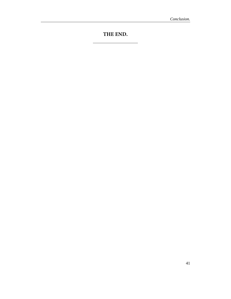# **THE END.**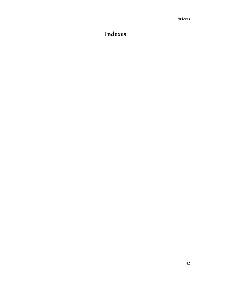# <span id="page-45-0"></span>**Indexes**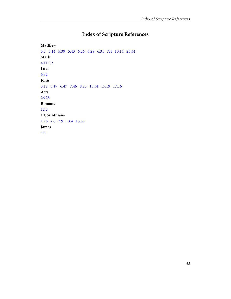# **Index of Scripture References**

<span id="page-46-0"></span>**Matthew** [5:3](#page-19-0) [5:14](#page-24-0)   [5:39](#page-24-1)   [5:43](#page-20-0)   [6:26](#page-14-0) [6:28](#page-14-0) [6:31](#page-24-2) [7:4](#page-35-0)   [10:14](#page-20-1)   [25:34](#page-14-1)  **Mark** [4:11-12](#page-37-0)  **Luke** [6:32](#page-19-1) **John** [3:12](#page-10-1) [3:19](#page-23-0) [6:47](#page-31-0) [7:46](#page-13-0)   [8:23](#page-33-0)   [13:34](#page-21-0)   [15:19](#page-33-1)   [17:16](#page-34-0) **Acts** [26:28](#page-4-1)  **Romans** [12:2](#page-33-2) **1 Corinthians** [1:26](#page-42-0) [2:6](#page-33-3)   [2:9](#page-14-2)  [13:4](#page-21-1) [15:53](#page-12-0) **James** [4:4](#page-33-4)